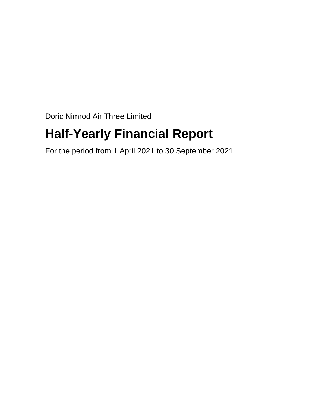Doric Nimrod Air Three Limited

# **Half-Yearly Financial Report**

For the period from 1 April 2021 to 30 September 2021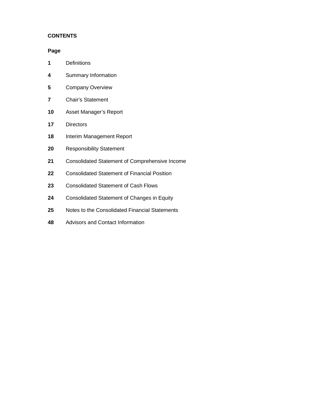# **CONTENTS**

#### **Page**

- Definitions
- Summary Information
- Company Overview
- Chair's Statement
- Asset Manager's Report
- Directors
- Interim Management Report
- Responsibility Statement
- Consolidated Statement of Comprehensive Income
- Consolidated Statement of Financial Position
- Consolidated Statement of Cash Flows
- Consolidated Statement of Changes in Equity
- Notes to the Consolidated Financial Statements
- Advisors and Contact Information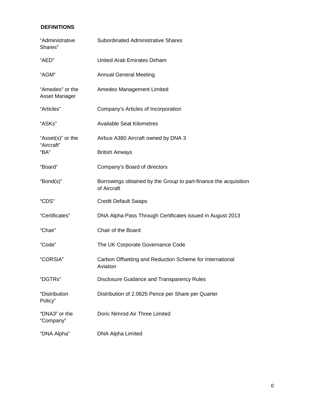# **DEFINITIONS**

| "Administrative<br>Shares"       | Subordinated Administrative Shares                                              |  |  |  |
|----------------------------------|---------------------------------------------------------------------------------|--|--|--|
| "AED"                            | United Arab Emirates Dirham                                                     |  |  |  |
| "AGM"                            | <b>Annual General Meeting</b>                                                   |  |  |  |
| "Amedeo" or the<br>Asset Manager | Amedeo Management Limited                                                       |  |  |  |
| "Articles"                       | Company's Articles of Incorporation                                             |  |  |  |
| "ASKs"                           | <b>Available Seat Kilometres</b>                                                |  |  |  |
| "Asset(s)" or the                | Airbus A380 Aircraft owned by DNA 3                                             |  |  |  |
| "Aircraft"<br>"BA"               | <b>British Airways</b>                                                          |  |  |  |
| "Board"                          | Company's Board of directors                                                    |  |  |  |
| "Bond(s)"                        | Borrowings obtained by the Group to part-finance the acquisition<br>of Aircraft |  |  |  |
| "CDS"                            | <b>Credit Default Swaps</b>                                                     |  |  |  |
| "Certificates"                   | DNA Alpha Pass Through Certificates issued in August 2013                       |  |  |  |
| "Chair"                          | Chair of the Board                                                              |  |  |  |
| "Code"                           | The UK Corporate Governance Code                                                |  |  |  |
| "CORSIA"                         | Carbon Offsetting and Reduction Scheme for International<br>Aviation            |  |  |  |
| "DGTRs"                          | Disclosure Guidance and Transparency Rules                                      |  |  |  |
| "Distribution<br>Policy"         | Distribution of 2.0625 Pence per Share per Quarter                              |  |  |  |
| "DNA3" or the<br>"Company"       | Doric Nimrod Air Three Limited                                                  |  |  |  |
| "DNA Alpha"                      | DNA Alpha Limited                                                               |  |  |  |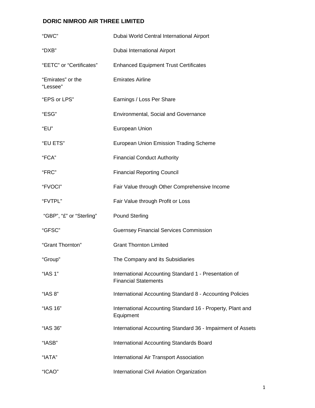| "DWC"                         | Dubai World Central International Airport                                            |
|-------------------------------|--------------------------------------------------------------------------------------|
| "DXB"                         | Dubai International Airport                                                          |
| "EETC" or "Certificates"      | <b>Enhanced Equipment Trust Certificates</b>                                         |
| "Emirates" or the<br>"Lessee" | <b>Emirates Airline</b>                                                              |
| "EPS or LPS"                  | Earnings / Loss Per Share                                                            |
| "ESG"                         | <b>Environmental, Social and Governance</b>                                          |
| "EU"                          | European Union                                                                       |
| "EU ETS"                      | <b>European Union Emission Trading Scheme</b>                                        |
| "FCA"                         | <b>Financial Conduct Authority</b>                                                   |
| "FRC"                         | <b>Financial Reporting Council</b>                                                   |
| "FVOCI"                       | Fair Value through Other Comprehensive Income                                        |
| "FVTPL"                       | Fair Value through Profit or Loss                                                    |
| "GBP", "£" or "Sterling"      | <b>Pound Sterling</b>                                                                |
| "GFSC"                        | <b>Guernsey Financial Services Commission</b>                                        |
| "Grant Thornton"              | <b>Grant Thornton Limited</b>                                                        |
| "Group"                       | The Company and its Subsidiaries                                                     |
| "IAS 1"                       | International Accounting Standard 1 - Presentation of<br><b>Financial Statements</b> |
| "IAS 8"                       | International Accounting Standard 8 - Accounting Policies                            |
| "IAS 16"                      | International Accounting Standard 16 - Property, Plant and<br>Equipment              |
| "IAS 36"                      | International Accounting Standard 36 - Impairment of Assets                          |
| "IASB"                        | <b>International Accounting Standards Board</b>                                      |
| "IATA"                        | International Air Transport Association                                              |
| "ICAO"                        | International Civil Aviation Organization                                            |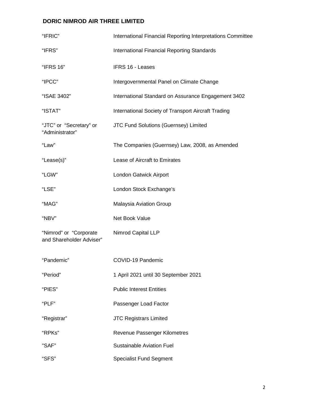| "IFRIC"                                            | International Financial Reporting Interpretations Committee |
|----------------------------------------------------|-------------------------------------------------------------|
| "IFRS"                                             | International Financial Reporting Standards                 |
| "IFRS 16"                                          | IFRS 16 - Leases                                            |
| "IPCC"                                             | Intergovernmental Panel on Climate Change                   |
| "ISAE 3402"                                        | International Standard on Assurance Engagement 3402         |
| "ISTAT"                                            | International Society of Transport Aircraft Trading         |
| "JTC" or "Secretary" or<br>"Administrator"         | JTC Fund Solutions (Guernsey) Limited                       |
| "Law"                                              | The Companies (Guernsey) Law, 2008, as Amended              |
| "Lease(s)"                                         | Lease of Aircraft to Emirates                               |
| "LGW"                                              | London Gatwick Airport                                      |
| "LSE"                                              | London Stock Exchange's                                     |
| "MAG"                                              | <b>Malaysia Aviation Group</b>                              |
| "NBV"                                              | Net Book Value                                              |
| "Nimrod" or "Corporate<br>and Shareholder Adviser" | Nimrod Capital LLP                                          |
| "Pandemic"                                         | COVID-19 Pandemic                                           |
| "Period"                                           | 1 April 2021 until 30 September 2021                        |
| "PIES"                                             | <b>Public Interest Entities</b>                             |
| "PLF"                                              | Passenger Load Factor                                       |
| "Registrar"                                        | <b>JTC Registrars Limited</b>                               |
| "RPKs"                                             | Revenue Passenger Kilometres                                |
| "SAF"                                              | <b>Sustainable Aviation Fuel</b>                            |
| "SFS"                                              | <b>Specialist Fund Segment</b>                              |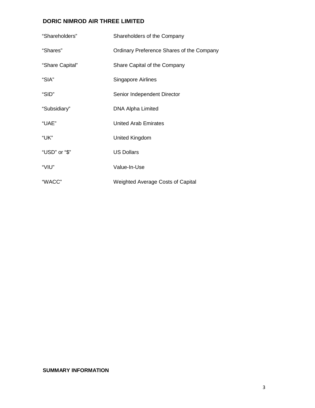| "Shareholders"  | Shareholders of the Company               |
|-----------------|-------------------------------------------|
| "Shares"        | Ordinary Preference Shares of the Company |
| "Share Capital" | Share Capital of the Company              |
| "SIA"           | Singapore Airlines                        |
| "SID"           | Senior Independent Director               |
| "Subsidiary"    | <b>DNA Alpha Limited</b>                  |
| "UAE"           | <b>United Arab Emirates</b>               |
| "UK"            | United Kingdom                            |
| "USD" or "\$"   | <b>US Dollars</b>                         |
| "VIU"           | Value-In-Use                              |
| "WACC"          | <b>Weighted Average Costs of Capital</b>  |

#### **SUMMARY INFORMATION**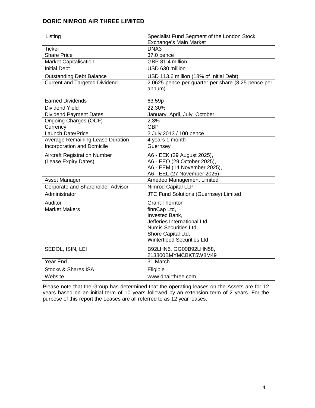| Listing                                  | Specialist Fund Segment of the London Stock        |
|------------------------------------------|----------------------------------------------------|
|                                          | Exchange's Main Market                             |
| <b>Ticker</b>                            | DNA3                                               |
| <b>Share Price</b>                       | 37.0 pence                                         |
| <b>Market Capitalisation</b>             | GBP 81.4 million                                   |
| <b>Initial Debt</b>                      | USD 630 million                                    |
| <b>Outstanding Debt Balance</b>          | USD 113.6 million (18% of Initial Debt)            |
| <b>Current and Targeted Dividend</b>     | 2.0625 pence per quarter per share (8.25 pence per |
|                                          | annum)                                             |
| <b>Earned Dividends</b>                  | 63.59p                                             |
| <b>Dividend Yield</b>                    | 22.30%                                             |
| <b>Dividend Payment Dates</b>            | January, April, July, October                      |
| Ongoing Charges (OCF)                    | 2.3%                                               |
| Currency                                 | <b>GBP</b>                                         |
| Launch Date/Price                        | 2 July 2013 / 100 pence                            |
| <b>Average Remaining Lease Duration</b>  | 4 years 1 month                                    |
| <b>Incorporation and Domicile</b>        | Guernsey                                           |
| <b>Aircraft Registration Number</b>      | A6 - EEK (29 August 2025),                         |
| (Lease Expiry Dates)                     | A6 - EEO (29 October 2025),                        |
|                                          | A6 - EEM (14 November 2025),                       |
|                                          | A6 - EEL (27 November 2025)                        |
| Asset Manager                            | Amedeo Management Limited                          |
| <b>Corporate and Shareholder Advisor</b> | <b>Nimrod Capital LLP</b>                          |
| Administrator                            | JTC Fund Solutions (Guernsey) Limited              |
| Auditor                                  | <b>Grant Thornton</b>                              |
| <b>Market Makers</b>                     | finnCap Ltd,                                       |
|                                          | Investec Bank,                                     |
|                                          | Jefferies International Ltd,                       |
|                                          | Numis Securities Ltd,                              |
|                                          | Shore Capital Ltd,                                 |
|                                          | <b>Winterflood Securities Ltd</b>                  |
| SEDOL, ISIN, LEI                         | B92LHN5, GG00B92LHN58,                             |
|                                          | 213800BMYMCBKT5W8M49                               |
| Year End                                 | 31 March                                           |
| <b>Stocks &amp; Shares ISA</b>           | Eligible                                           |
| Website                                  | www.dnairthree.com                                 |

Please note that the Group has determined that the operating leases on the Assets are for 12 years based on an initial term of 10 years followed by an extension term of 2 years. For the purpose of this report the Leases are all referred to as 12 year leases.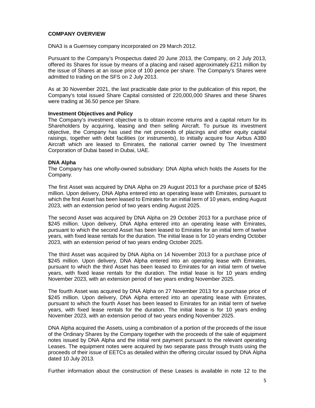#### **COMPANY OVERVIEW**

DNA3 is a Guernsey company incorporated on 29 March 2012.

Pursuant to the Company's Prospectus dated 20 June 2013, the Company, on 2 July 2013, offered its Shares for issue by means of a placing and raised approximately £211 million by the issue of Shares at an issue price of 100 pence per share. The Company's Shares were admitted to trading on the SFS on 2 July 2013.

As at 30 November 2021, the last practicable date prior to the publication of this report, the Company's total issued Share Capital consisted of 220,000,000 Shares and these Shares were trading at 36.50 pence per Share.

#### **Investment Objectives and Policy**

The Company's investment objective is to obtain income returns and a capital return for its Shareholders by acquiring, leasing and then selling Aircraft. To pursue its investment objective, the Company has used the net proceeds of placings and other equity capital raisings, together with debt facilities (or instruments), to initially acquire four Airbus A380 Aircraft which are leased to Emirates, the national carrier owned by The Investment Corporation of Dubai based in Dubai, UAE.

#### **DNA Alpha**

The Company has one wholly-owned subsidiary: DNA Alpha which holds the Assets for the Company.

The first Asset was acquired by DNA Alpha on 29 August 2013 for a purchase price of \$245 million. Upon delivery, DNA Alpha entered into an operating lease with Emirates, pursuant to which the first Asset has been leased to Emirates for an initial term of 10 years, ending August 2023, with an extension period of two years ending August 2025.

The second Asset was acquired by DNA Alpha on 29 October 2013 for a purchase price of \$245 million. Upon delivery, DNA Alpha entered into an operating lease with Emirates, pursuant to which the second Asset has been leased to Emirates for an initial term of twelve years, with fixed lease rentals for the duration. The initial lease is for 10 years ending October 2023, with an extension period of two years ending October 2025.

The third Asset was acquired by DNA Alpha on 14 November 2013 for a purchase price of \$245 million. Upon delivery, DNA Alpha entered into an operating lease with Emirates, pursuant to which the third Asset has been leased to Emirates for an initial term of twelve years, with fixed lease rentals for the duration. The initial lease is for 10 years ending November 2023, with an extension period of two years ending November 2025.

The fourth Asset was acquired by DNA Alpha on 27 November 2013 for a purchase price of \$245 million. Upon delivery, DNA Alpha entered into an operating lease with Emirates, pursuant to which the fourth Asset has been leased to Emirates for an initial term of twelve years, with fixed lease rentals for the duration. The initial lease is for 10 years ending November 2023, with an extension period of two years ending November 2025.

DNA Alpha acquired the Assets, using a combination of a portion of the proceeds of the issue of the Ordinary Shares by the Company together with the proceeds of the sale of equipment notes issued by DNA Alpha and the initial rent payment pursuant to the relevant operating Leases. The equipment notes were acquired by two separate pass through trusts using the proceeds of their issue of EETCs as detailed within the offering circular issued by DNA Alpha dated 10 July 2013.

Further information about the construction of these Leases is available in note 12 to the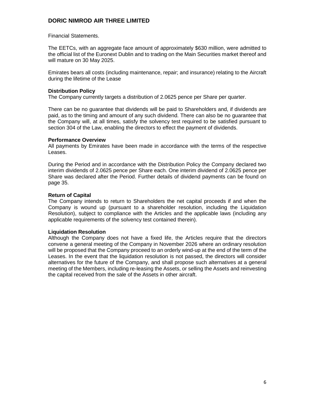Financial Statements.

The EETCs, with an aggregate face amount of approximately \$630 million, were admitted to the official list of the Euronext Dublin and to trading on the Main Securities market thereof and will mature on 30 May 2025.

Emirates bears all costs (including maintenance, repair; and insurance) relating to the Aircraft during the lifetime of the Lease

### **Distribution Policy**

The Company currently targets a distribution of 2.0625 pence per Share per quarter.

There can be no guarantee that dividends will be paid to Shareholders and, if dividends are paid, as to the timing and amount of any such dividend. There can also be no guarantee that the Company will, at all times, satisfy the solvency test required to be satisfied pursuant to section 304 of the Law, enabling the directors to effect the payment of dividends.

#### **Performance Overview**

All payments by Emirates have been made in accordance with the terms of the respective Leases.

During the Period and in accordance with the Distribution Policy the Company declared two interim dividends of 2.0625 pence per Share each. One interim dividend of 2.0625 pence per Share was declared after the Period. Further details of dividend payments can be found on page 35.

#### **Return of Capital**

The Company intends to return to Shareholders the net capital proceeds if and when the Company is wound up (pursuant to a shareholder resolution, including the Liquidation Resolution), subject to compliance with the Articles and the applicable laws (including any applicable requirements of the solvency test contained therein).

#### **Liquidation Resolution**

Although the Company does not have a fixed life, the Articles require that the directors convene a general meeting of the Company in November 2026 where an ordinary resolution will be proposed that the Company proceed to an orderly wind-up at the end of the term of the Leases. In the event that the liquidation resolution is not passed, the directors will consider alternatives for the future of the Company, and shall propose such alternatives at a general meeting of the Members, including re-leasing the Assets, or selling the Assets and reinvesting the capital received from the sale of the Assets in other aircraft.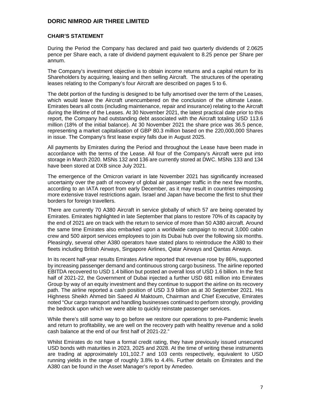#### **CHAIR'S STATEMENT**

During the Period the Company has declared and paid two quarterly dividends of 2.0625 pence per Share each, a rate of dividend payment equivalent to 8.25 pence per Share per annum.

The Company's investment objective is to obtain income returns and a capital return for its Shareholders by acquiring, leasing and then selling Aircraft. The structures of the operating leases relating to the Company's four Aircraft are described on pages 5 to 6.

The debt portion of the funding is designed to be fully amortised over the term of the Leases, which would leave the Aircraft unencumbered on the conclusion of the ultimate Lease. Emirates bears all costs (including maintenance, repair and insurance) relating to the Aircraft during the lifetime of the Leases. At 30 November 2021, the latest practical date prior to this report, the Company had outstanding debt associated with the Aircraft totaling USD 113.6 million (18% of the initial balance). At 30 November 2021 the share price was 36.5 pence, representing a market capitalisation of GBP 80.3 million based on the 220,000,000 Shares in issue. The Company's first lease expiry falls due in August 2025.

All payments by Emirates during the Period and throughout the Lease have been made in accordance with the terms of the Lease. All four of the Company's Aircraft were put into storage in March 2020. MSNs 132 and 136 are currently stored at DWC. MSNs 133 and 134 have been stored at DXB since July 2021.

The emergence of the Omicron variant in late November 2021 has significantly increased uncertainty over the path of recovery of global air passenger traffic in the next few months, according to an IATA report from early December, as it may result in countries reimposing more extensive travel restrictions again. Israel and Japan have become the first to shut their borders for foreign travellers.

There are currently 70 A380 Aircraft in service globally of which 57 are being operated by Emirates. Emirates highlighted in late September that plans to restore 70% of its capacity by the end of 2021 are on track with the return to service of more than 50 A380 aircraft. Around the same time Emirates also embarked upon a worldwide campaign to recruit 3,000 cabin crew and 500 airport services employees to join its Dubai hub over the following six months. Pleasingly, several other A380 operators have stated plans to reintroduce the A380 to their fleets including British Airways, Singapore Airlines, Qatar Airways and Qantas Airways.

In its recent half-year results Emirates Airline reported that revenue rose by 86%, supported by increasing passenger demand and continuous strong cargo business. The airline reported EBITDA recovered to USD 1.4 billion but posted an overall loss of USD 1.6 billion. In the first half of 2021-22, the Government of Dubai injected a further USD 681 million into Emirates Group by way of an equity investment and they continue to support the airline on its recovery path. The airline reported a cash position of USD 3.9 billion as at 30 September 2021. His Highness Sheikh Ahmed bin Saeed Al Maktoum, Chairman and Chief Executive, Emirates noted "Our cargo transport and handling businesses continued to perform strongly, providing the bedrock upon which we were able to quickly reinstate passenger services.

While there's still some way to go before we restore our operations to pre-Pandemic levels and return to profitability, we are well on the recovery path with healthy revenue and a solid cash balance at the end of our first half of 2021-22."

Whilst Emirates do not have a formal credit rating, they have previously issued unsecured USD bonds with maturities in 2023, 2025 and 2028. At the time of writing these instruments are trading at approximately 101,102.7 and 103 cents respectively, equivalent to USD running yields in the range of roughly 3.8% to 4.4%. Further details on Emirates and the A380 can be found in the Asset Manager's report by Amedeo.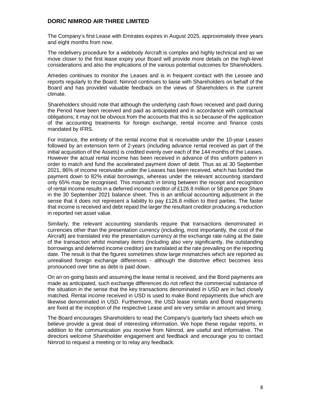The Company's first Lease with Emirates expires in August 2025, approximately three years and eight months from now.

The redelivery procedure for a widebody Aircraft is complex and highly technical and as we move closer to the first lease expiry your Board will provide more details on the high-level considerations and also the implications of the various potential outcomes for Shareholders.

Amedeo continues to monitor the Leases and is in frequent contact with the Lessee and reports regularly to the Board. Nimrod continues to liaise with Shareholders on behalf of the Board and has provided valuable feedback on the views of Shareholders in the current climate.

Shareholders should note that although the underlying cash flows received and paid during the Period have been received and paid as anticipated and in accordance with contractual obligations; it may not be obvious from the accounts that this is so because of the application of the accounting treatments for foreign exchange, rental income and finance costs mandated by IFRS.

For instance, the entirety of the rental income that is receivable under the 10-year Leases followed by an extension term of 2-years (including advance rental received as part of the initial acquisition of the Assets) is credited evenly over each of the 144 months of the Leases. However the actual rental income has been received in advance of this uniform pattern in order to match and fund the accelerated payment down of debt. Thus as at 30 September 2021, 86% of income receivable under the Leases has been received, which has funded the payment down to 82% initial borrowings, whereas under the relevant accounting standard only 65% may be recognised. This mismatch in timing between the receipt and recognition of rental income results in a deferred income creditor of £126.8 million or 58 pence per Share in the 30 September 2021 balance sheet. This is an artificial accounting adjustment in the sense that it does not represent a liability to pay £126.8 million to third parties. The faster that income is received and debt repaid the larger the resultant creditor producing a reduction in reported net asset value.

Similarly, the relevant accounting standards require that transactions denominated in currencies other than the presentation currency (including, most importantly, the cost of the Aircraft) are translated into the presentation currency at the exchange rate ruling at the date of the transaction whilst monetary items (including also very significantly, the outstanding borrowings and deferred income creditor) are translated at the rate prevailing on the reporting date. The result is that the figures sometimes show large mismatches which are reported as unrealised foreign exchange differences - although the distortive effect becomes less pronounced over time as debt is paid down.

On an on-going basis and assuming the lease rental is received, and the Bond payments are made as anticipated, such exchange differences do not reflect the commercial substance of the situation in the sense that the key transactions denominated in USD are in fact closely matched. Rental income received in USD is used to make Bond repayments due which are likewise denominated in USD. Furthermore, the USD lease rentals and Bond repayments are fixed at the inception of the respective Lease and are very similar in amount and timing.

The Board encourages Shareholders to read the Company's quarterly fact sheets which we believe provide a great deal of interesting information. We hope these regular reports, in addition to the communication you receive from Nimrod, are useful and informative. The directors welcome Shareholder engagement and feedback and encourage you to contact Nimrod to request a meeting or to relay any feedback.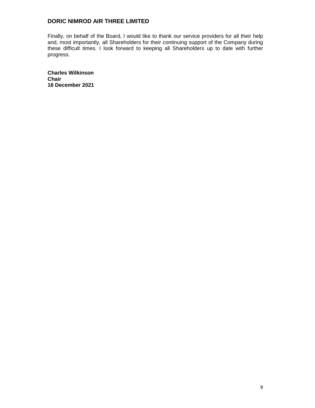Finally, on behalf of the Board, I would like to thank our service providers for all their help and, most importantly, all Shareholders for their continuing support of the Company during these difficult times. I look forward to keeping all Shareholders up to date with further progress.

**Charles Wilkinson Chair 16 December 2021**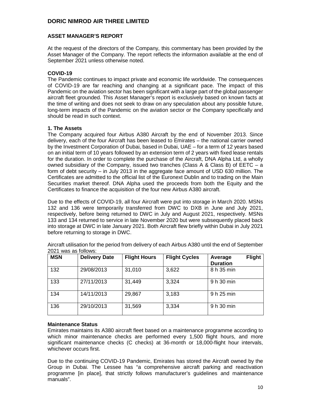#### **ASSET MANAGER'S REPORT**

At the request of the directors of the Company, this commentary has been provided by the Asset Manager of the Company. The report reflects the information available at the end of September 2021 unless otherwise noted.

#### **COVID-19**

The Pandemic continues to impact private and economic life worldwide. The consequences of COVID-19 are far reaching and changing at a significant pace. The impact of this Pandemic on the aviation sector has been significant with a large part of the global passenger aircraft fleet grounded. This Asset Manager's report is exclusively based on known facts at the time of writing and does not seek to draw on any speculation about any possible future, long-term impacts of the Pandemic on the aviation sector or the Company specifically and should be read in such context.

#### **1. The Assets**

The Company acquired four Airbus A380 Aircraft by the end of November 2013. Since delivery, each of the four Aircraft has been leased to Emirates – the national carrier owned by the Investment Corporation of Dubai, based in Dubai, UAE – for a term of 12 years based on an initial term of 10 years followed by an extension term of 2 years with fixed lease rentals for the duration. In order to complete the purchase of the Aircraft, DNA Alpha Ltd, a wholly owned subsidiary of the Company, issued two tranches (Class A & Class B) of EETC – a form of debt security – in July 2013 in the aggregate face amount of USD 630 million. The Certificates are admitted to the official list of the Euronext Dublin and to trading on the Main Securities market thereof. DNA Alpha used the proceeds from both the Equity and the Certificates to finance the acquisition of the four new Airbus A380 aircraft.

Due to the effects of COVID-19, all four Aircraft were put into storage in March 2020. MSNs 132 and 136 were temporarily transferred from DWC to DXB in June and July 2021, respectively, before being returned to DWC in July and August 2021, respectively. MSNs 133 and 134 returned to service in late November 2020 but were subsequently placed back into storage at DWC in late January 2021. Both Aircraft flew briefly within Dubai in July 2021 before returning to storage in DWC.

| <b>MSN</b> | <b>Delivery Date</b> | <b>Flight Hours</b> | <b>Flight Cycles</b> | <b>Flight</b><br>Average<br><b>Duration</b> |
|------------|----------------------|---------------------|----------------------|---------------------------------------------|
| 132        | 29/08/2013           | 31,010              | 3,622                | 8 h 35 min                                  |
| 133        | 27/11/2013           | 31,449              | 3,324                | 9 h 30 min                                  |
| 134        | 14/11/2013           | 29,867              | 3,183                | 9 h 25 min                                  |
| 136        | 29/10/2013           | 31,569              | 3,334                | 9 h 30 min                                  |

Aircraft utilisation for the period from delivery of each Airbus A380 until the end of September 2021 was as follows:

#### **Maintenance Status**

Emirates maintains its A380 aircraft fleet based on a maintenance programme according to which minor maintenance checks are performed every 1,500 flight hours, and more significant maintenance checks (C checks) at 36-month or 18,000-flight hour intervals, whichever occurs first.

Due to the continuing COVID-19 Pandemic, Emirates has stored the Aircraft owned by the Group in Dubai. The Lessee has "a comprehensive aircraft parking and reactivation programme [in place], that strictly follows manufacturer's guidelines and maintenance manuals".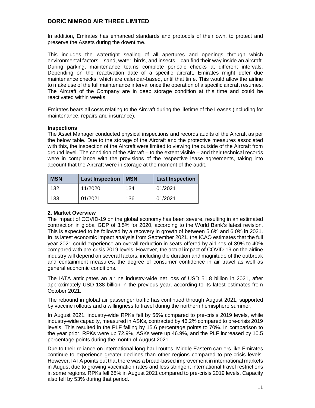In addition, Emirates has enhanced standards and protocols of their own, to protect and preserve the Assets during the downtime.

This includes the watertight sealing of all apertures and openings through which environmental factors – sand, water, birds, and insects – can find their way inside an aircraft. During parking, maintenance teams complete periodic checks at different intervals. Depending on the reactivation date of a specific aircraft, Emirates might defer due maintenance checks, which are calendar-based, until that time. This would allow the airline to make use of the full maintenance interval once the operation of a specific aircraft resumes. The Aircraft of the Company are in deep storage condition at this time and could be reactivated within weeks.

Emirates bears all costs relating to the Aircraft during the lifetime of the Leases (including for maintenance, repairs and insurance).

#### **Inspections**

The Asset Manager conducted physical inspections and records audits of the Aircraft as per the below table. Due to the storage of the Aircraft and the protective measures associated with this, the inspection of the Aircraft were limited to viewing the outside of the Aircraft from ground level. The condition of the Aircraft – to the extent visible – and their technical records were in compliance with the provisions of the respective lease agreements, taking into account that the Aircraft were in storage at the moment of the audit.

| <b>MSN</b> | <b>Last Inspection</b> | <b>MSN</b> | <b>Last Inspection</b> |
|------------|------------------------|------------|------------------------|
| 132        | 11/2020                | 134        | 01/2021                |
| 133        | 01/2021                | 136        | 01/2021                |

#### **2. Market Overview**

The impact of COVID-19 on the global economy has been severe, resulting in an estimated contraction in global GDP of 3.5% for 2020, according to the World Bank's latest revision. This is expected to be followed by a recovery in growth of between 5.6% and 6.0% in 2021. In its latest economic impact analysis from September 2021, the ICAO estimates that the full year 2021 could experience an overall reduction in seats offered by airlines of 39% to 40% compared with pre-crisis 2019 levels. However, the actual impact of COVID-19 on the airline industry will depend on several factors, including the duration and magnitude of the outbreak and containment measures, the degree of consumer confidence in air travel as well as general economic conditions.

The IATA anticipates an airline industry-wide net loss of USD 51.8 billion in 2021, after approximately USD 138 billion in the previous year, according to its latest estimates from October 2021.

The rebound in global air passenger traffic has continued through August 2021, supported by vaccine rollouts and a willingness to travel during the northern hemisphere summer.

In August 2021, industry-wide RPKs fell by 56% compared to pre-crisis 2019 levels, while industry-wide capacity, measured in ASKs, contracted by 46.2% compared to pre-crisis 2019 levels. This resulted in the PLF falling by 15.6 percentage points to 70%. In comparison to the year prior, RPKs were up 72.9%, ASKs were up 46.9%, and the PLF increased by 10.5 percentage points during the month of August 2021.

Due to their reliance on international long-haul routes, Middle Eastern carriers like Emirates continue to experience greater declines than other regions compared to pre-crisis levels. However, IATA points out that there was a broad-based improvement in international markets in August due to growing vaccination rates and less stringent international travel restrictions in some regions. RPKs fell 68% in August 2021 compared to pre-crisis 2019 levels. Capacity also fell by 53% during that period.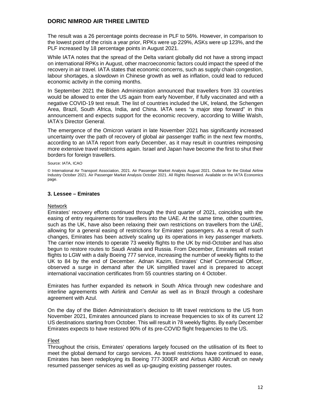The result was a 26 percentage points decrease in PLF to 56%. However, in comparison to the lowest point of the crisis a year prior, RPKs were up 229%, ASKs were up 123%, and the PLF increased by 18 percentage points in August 2021.

While IATA notes that the spread of the Delta variant globally did not have a strong impact on international RPKs in August, other macroeconomic factors could impact the speed of the recovery in air travel. IATA states that economic concerns, such as supply chain congestion, labour shortages, a slowdown in Chinese growth as well as inflation, could lead to reduced economic activity in the coming months.

In September 2021 the Biden Administration announced that travellers from 33 countries would be allowed to enter the US again from early November, if fully vaccinated and with a negative COVID-19 test result. The list of countries included the UK, Ireland, the Schengen Area, Brazil, South Africa, India, and China. IATA sees "a major step forward" in this announcement and expects support for the economic recovery, according to Willie Walsh, IATA's Director General.

The emergence of the Omicron variant in late November 2021 has significantly increased uncertainty over the path of recovery of global air passenger traffic in the next few months, according to an IATA report from early December, as it may result in countries reimposing more extensive travel restrictions again. Israel and Japan have become the first to shut their borders for foreign travellers.

#### Source: IATA, ICAO

#### **3. Lessee – Emirates**

#### Network

Emirates' recovery efforts continued through the third quarter of 2021, coinciding with the easing of entry requirements for travellers into the UAE. At the same time, other countries, such as the UK, have also been relaxing their own restrictions on travellers from the UAE, allowing for a general easing of restrictions for Emirates' passengers. As a result of such changes, Emirates has been actively scaling up its operations in key passenger markets. The carrier now intends to operate 73 weekly flights to the UK by mid-October and has also begun to restore routes to Saudi Arabia and Russia. From December, Emirates will restart flights to LGW with a daily Boeing 777 service, increasing the number of weekly flights to the UK to 84 by the end of December. Adnan Kazim, Emirates' Chief Commercial Officer, observed a surge in demand after the UK simplified travel and is prepared to accept international vaccination certificates from 55 countries starting on 4 October.

Emirates has further expanded its network in South Africa through new codeshare and interline agreements with Airlink and CemAir as well as in Brazil through a codeshare agreement with Azul.

On the day of the Biden Administration's decision to lift travel restrictions to the US from November 2021, Emirates announced plans to increase frequencies to six of its current 12 US destinations starting from October. This will result in 78 weekly flights. By early December Emirates expects to have restored 90% of its pre-COVID flight frequencies to the US.

#### Fleet

Throughout the crisis, Emirates' operations largely focused on the utilisation of its fleet to meet the global demand for cargo services. As travel restrictions have continued to ease, Emirates has been redeploying its Boeing 777-300ER and Airbus A380 Aircraft on newly resumed passenger services as well as up-gauging existing passenger routes.

<sup>©</sup> International Air Transport Association, 2021. Air Passenger Market Analysis August 2021. Outlook for the Global Airline Industry October 2021. Air Passenger Market Analysis October 2021. All Rights Reserved. Available on the IATA Economics page.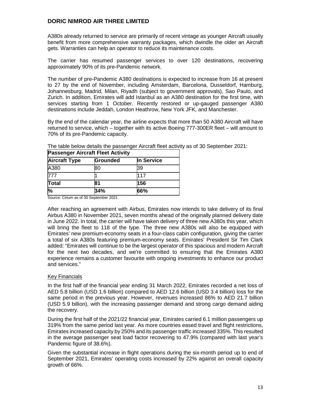A380s already returned to service are primarily of recent vintage as younger Aircraft usually benefit from more comprehensive warranty packages, which dwindle the older an Aircraft gets. Warranties can help an operator to reduce its maintenance costs.

The carrier has resumed passenger services to over 120 destinations, recovering approximately 90% of its pre-Pandemic network.

The number of pre-Pandemic A380 destinations is expected to increase from 16 at present to 27 by the end of November, including Amsterdam, Barcelona, Dusseldorf, Hamburg, Johannesburg, Madrid, Milan, Riyadh (subject to government approvals), Sao Paulo, and Zurich. In addition, Emirates will add Istanbul as an A380 destination for the first time, with services starting from 1 October. Recently restored or up-gauged passenger A380 destinations include Jeddah, London Heathrow, New York JFK, and Manchester.

By the end of the calendar year, the airline expects that more than 50 A380 Aircraft will have returned to service, which – together with its active Boeing 777-300ER fleet – will amount to 70% of its pre-Pandemic capacity.

| <b>Passenger Aircraft Fleet Activity</b> |          |            |  |
|------------------------------------------|----------|------------|--|
| <b>Aircraft Type</b>                     | Grounded | In Service |  |
| A380                                     | 80       | 39         |  |
| 777                                      |          | 117        |  |
| Total                                    | 81       | 156        |  |
| %                                        | 34%      | 66%        |  |

The table below details the passenger Aircraft fleet activity as of 30 September 2021:

Source: Cirium as of 30 September 2021

After reaching an agreement with Airbus, Emirates now intends to take delivery of its final Airbus A380 in November 2021, seven months ahead of the originally planned delivery date in June 2022. In total, the carrier will have taken delivery of three new A380s this year, which will bring the fleet to 118 of the type. The three new A380s will also be equipped with Emirates' new premium-economy seats in a four-class cabin configuration, giving the carrier a total of six A380s featuring premium-economy seats. Emirates' President Sir Tim Clark added: "Emirates will continue to be the largest operator of this spacious and modern Aircraft for the next two decades, and we're committed to ensuring that the Emirates A380 experience remains a customer favourite with ongoing investments to enhance our product and services."

#### Key Financials

In the first half of the financial year ending 31 March 2022, Emirates recorded a net loss of AED 5.8 billion (USD 1.6 billion) compared to AED 12.6 billion (USD 3.4 billion) loss for the same period in the previous year. However, revenues increased 86% to AED 21.7 billion (USD 5.9 billion), with the increasing passenger demand and strong cargo demand aiding the recovery.

During the first half of the 2021/22 financial year, Emirates carried 6.1 million passengers up 319% from the same period last year. As more countries eased travel and flight restrictions, Emirates increased capacity by 250% and its passenger traffic increased 335%. This resulted in the average passenger seat load factor recovering to 47.9% (compared with last year's Pandemic figure of 38.6%).

Given the substantial increase in flight operations during the six-month period up to end of September 2021, Emirates' operating costs increased by 22% against an overall capacity growth of 66%.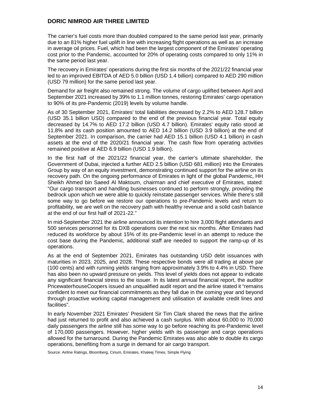The carrier's fuel costs more than doubled compared to the same period last year, primarily due to an 81% higher fuel uplift in line with increasing flight operations as well as an increase in average oil prices. Fuel, which had been the largest component of the Emirates' operating cost prior to the Pandemic, accounted for 20% of operating costs compared to only 11% in the same period last year.

The recovery in Emirates' operations during the first six months of the 2021/22 financial year led to an improved EBITDA of AED 5.0 billion (USD 1.4 billion) compared to AED 290 million (USD 79 million) for the same period last year.

Demand for air freight also remained strong. The volume of cargo uplifted between April and September 2021 increased by 39% to 1.1 million tonnes, restoring Emirates' cargo operation to 90% of its pre-Pandemic (2019) levels by volume handle.

As of 30 September 2021, Emirates' total liabilities decreased by 2.2% to AED 128.7 billion (USD 35.1 billion USD) compared to the end of the previous financial year. Total equity decreased by 14.7% to AED 17.2 billion (USD 4.7 billion). Emirates' equity ratio stood at 11.8% and its cash position amounted to AED 14.2 billion (USD 3.9 billion) at the end of September 2021. In comparison, the carrier had AED 15.1 billion (USD 4.1 billion) in cash assets at the end of the 2020/21 financial year. The cash flow from operating activities remained positive at AED 6.9 billion (USD 1.9 billion).

In the first half of the 2021/22 financial year, the carrier's ultimate shareholder, the Government of Dubai, injected a further AED 2.5 billion (USD 681 million) into the Emirates Group by way of an equity investment, demonstrating continued support for the airline on its recovery path. On the ongoing performance of Emirates in light of the global Pandemic, HH Sheikh Ahmed bin Saeed Al Maktoum, chairman and chief executive of Emirates, stated: "Our cargo transport and handling businesses continued to perform strongly, providing the bedrock upon which we were able to quickly reinstate passenger services. While there's still some way to go before we restore our operations to pre-Pandemic levels and return to profitability, we are well on the recovery path with healthy revenue and a solid cash balance at the end of our first half of 2021-22."

In mid-September 2021 the airline announced its intention to hire 3,000 flight attendants and 500 services personnel for its DXB operations over the next six months. After Emirates had reduced its workforce by about 15% of its pre-Pandemic level in an attempt to reduce the cost base during the Pandemic, additional staff are needed to support the ramp-up of its operations.

As at the end of September 2021, Emirates has outstanding USD debt issuances with maturities in 2023, 2025, and 2028. These respective bonds were all trading at above par (100 cents) and with running yields ranging from approximately 3.9% to 4.4% in USD. There has also been no upward pressure on yields. This level of yields does not appear to indicate any significant financial stress to the issuer. In its latest annual financial report, the auditor PricewaterhouseCoopers issued an unqualified audit report and the airline stated it "remains confident to meet our financial commitments as they fall due in the coming year and beyond through proactive working capital management and utilisation of available credit lines and facilities".

In early November 2021 Emirates' President Sir Tim Clark shared the news that the airline had just returned to profit and also achieved a cash surplus. With about 60,000 to 70,000 daily passengers the airline still has some way to go before reaching its pre-Pandemic level of 170,000 passengers. However, higher yields with its passenger and cargo operations allowed for the turnaround. During the Pandemic Emirates was also able to double its cargo operations, benefiting from a surge in demand for air cargo transport.

Source: Airline Ratings, Bloomberg, Cirium, Emirates, Khaleej Times, Simple Flying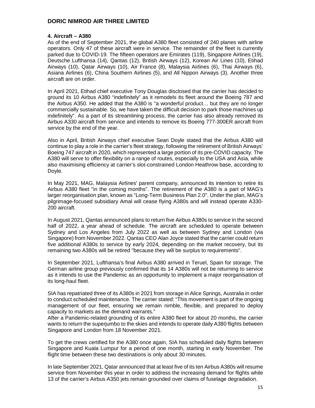#### **4. Aircraft – A380**

As of the end of September 2021, the global A380 fleet consisted of 240 planes with airline operators. Only 47 of these aircraft were in service. The remainder of the fleet is currently parked due to COVID-19. The fifteen operators are Emirates (119), Singapore Airlines (19), Deutsche Lufthansa (14), Qantas (12), British Airways (12), Korean Air Lines (10), Etihad Airways (10), Qatar Airways (10), Air France (8), Malaysia Airlines (6), Thai Airways (6), Asiana Airlines (6), China Southern Airlines (5), and All Nippon Airways (3). Another three aircraft are on order.

In April 2021, Etihad chief executive Tony Douglas disclosed that the carrier has decided to ground its 10 Airbus A380 "indefinitely" as it remodels its fleet around the Boeing 787 and the Airbus A350. He added that the A380 is "a wonderful product… but they are no longer commercially sustainable. So, we have taken the difficult decision to park those machines up indefinitely". As a part of its streamlining process, the carrier has also already removed its Airbus A330 aircraft from service and intends to remove its Boeing 777-300ER aircraft from service by the end of the year.

Also in April, British Airways chief executive Sean Doyle stated that the Airbus A380 will continue to play a role in the carrier's fleet strategy, following the retirement of British Airways' Boeing 747 aircraft in 2020, which represented a large portion of its pre-COVID capacity. The A380 will serve to offer flexibility on a range of routes, especially to the USA and Asia, while also maximising efficiency at carrier's slot-constrained London Heathrow base, according to Doyle.

In May 2021, MAG, Malaysia Airlines' parent company, announced its intention to retire its Airbus A380 fleet "in the coming months". The retirement of the A380 is a part of MAG's larger reorganisation plan, known as "Long-Term Business Plan 2.0". Under the plan, MAG's pilgrimage-focused subsidiary Amal will cease flying A380s and will instead operate A330- 200 aircraft.

In August 2021, Qantas announced plans to return five Airbus A380s to service in the second half of 2022, a year ahead of schedule. The aircraft are scheduled to operate between Sydney and Los Angeles from July 2022 as well as between Sydney and London (via Singapore) from November 2022. Qantas CEO Alan Joyce stated that the carrier could return five additional A380s to service by early 2024, depending on the market recovery, but its remaining two A380s will be retired "because they will be surplus to requirements".

In September 2021, Lufthansa's final Airbus A380 arrived in Teruel, Spain for storage. The German airline group previously confirmed that its 14 A380s will not be returning to service as it intends to use the Pandemic as an opportunity to implement a major reorganisation of its long-haul fleet.

SIA has repatriated three of its A380s in 2021 from storage in Alice Springs, Australia in order to conduct scheduled maintenance. The carrier stated: "This movement is part of the ongoing management of our fleet, ensuring we remain nimble, flexible, and prepared to deploy capacity to markets as the demand warrants."

After a Pandemic-related grounding of its entire A380 fleet for about 20 months, the carrier wants to return the superjumbo to the skies and intends to operate daily A380 flights between Singapore and London from 18 November 2021.

To get the crews certified for the A380 once again, SIA has scheduled daily flights between Singapore and Kuala Lumpur for a period of one month, starting in early November. The flight time between these two destinations is only about 30 minutes.

In late September 2021, Qatar announced that at least five of its ten Airbus A380s will resume service from November this year in order to address the increasing demand for flights while 13 of the carrier's Airbus A350 jets remain grounded over claims of fuselage degradation.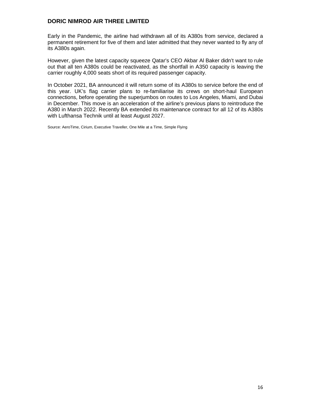Early in the Pandemic, the airline had withdrawn all of its A380s from service, declared a permanent retirement for five of them and later admitted that they never wanted to fly any of its A380s again.

However, given the latest capacity squeeze Qatar's CEO Akbar Al Baker didn't want to rule out that all ten A380s could be reactivated, as the shortfall in A350 capacity is leaving the carrier roughly 4,000 seats short of its required passenger capacity.

In October 2021, BA announced it will return some of its A380s to service before the end of this year. UK's flag carrier plans to re-familiarise its crews on short-haul European connections, before operating the superjumbos on routes to Los Angeles, Miami, and Dubai in December. This move is an acceleration of the airline's previous plans to reintroduce the A380 in March 2022. Recently BA extended its maintenance contract for all 12 of its A380s with Lufthansa Technik until at least August 2027.

Source: AeroTime, Cirium, Executive Traveller, One Mile at a Time, Simple Flying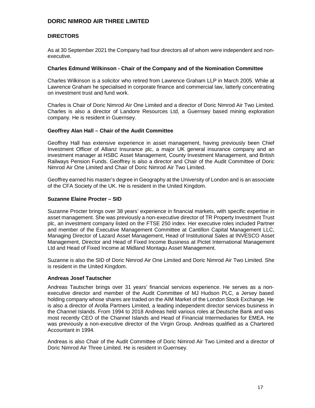#### **DIRECTORS**

As at 30 September 2021 the Company had four directors all of whom were independent and nonexecutive.

#### **Charles Edmund Wilkinson - Chair of the Company and of the Nomination Committee**

Charles Wilkinson is a solicitor who retired from Lawrence Graham LLP in March 2005. While at Lawrence Graham he specialised in corporate finance and commercial law, latterly concentrating on investment trust and fund work.

Charles is Chair of Doric Nimrod Air One Limited and a director of Doric Nimrod Air Two Limited. Charles is also a director of Landore Resources Ltd, a Guernsey based mining exploration company. He is resident in Guernsey.

#### **Geoffrey Alan Hall – Chair of the Audit Committee**

Geoffrey Hall has extensive experience in asset management, having previously been Chief Investment Officer of Allianz Insurance plc, a major UK general insurance company and an investment manager at HSBC Asset Management, County Investment Management, and British Railways Pension Funds. Geoffrey is also a director and Chair of the Audit Committee of Doric Nimrod Air One Limited and Chair of Doric Nimrod Air Two Limited.

Geoffrey earned his master's degree in Geography at the University of London and is an associate of the CFA Society of the UK. He is resident in the United Kingdom.

#### **Suzanne Elaine Procter – SID**

Suzanne Procter brings over 38 years' experience in financial markets, with specific expertise in asset management. She was previously a non-executive director of TR Property Investment Trust plc, an investment company listed on the FTSE 250 index. Her executive roles included Partner and member of the Executive Management Committee at Cantillon Capital Management LLC, Managing Director of Lazard Asset Management, Head of Institutional Sales at INVESCO Asset Management, Director and Head of Fixed Income Business at Pictet International Management Ltd and Head of Fixed Income at Midland Montagu Asset Management.

Suzanne is also the SID of Doric Nimrod Air One Limited and Doric Nimrod Air Two Limited. She is resident in the United Kingdom.

#### **Andreas Josef Tautscher**

Andreas Tautscher brings over 31 years' financial services experience. He serves as a nonexecutive director and member of the Audit Committee of MJ Hudson PLC, a Jersey based holding company whose shares are traded on the AIM Market of the London Stock Exchange. He is also a director of Arolla Partners Limited, a leading independent director services business in the Channel Islands. From 1994 to 2018 Andreas held various roles at Deutsche Bank and was most recently CEO of the Channel Islands and Head of Financial Intermediaries for EMEA. He was previously a non-executive director of the Virgin Group. Andreas qualified as a Chartered Accountant in 1994.

Andreas is also Chair of the Audit Committee of Doric Nimrod Air Two Limited and a director of Doric Nimrod Air Three Limited. He is resident in Guernsey.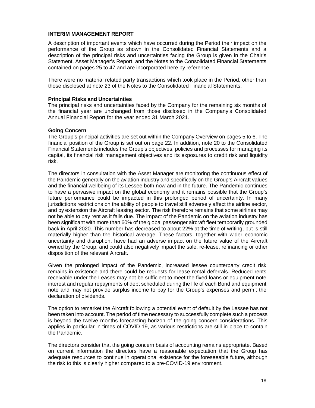#### **INTERIM MANAGEMENT REPORT**

A description of important events which have occurred during the Period their impact on the performance of the Group as shown in the Consolidated Financial Statements and a description of the principal risks and uncertainties facing the Group is given in the Chair's Statement, Asset Manager's Report, and the Notes to the Consolidated Financial Statements contained on pages 25 to 47 and are incorporated here by reference.

There were no material related party transactions which took place in the Period, other than those disclosed at note 23 of the Notes to the Consolidated Financial Statements.

#### **Principal Risks and Uncertainties**

The principal risks and uncertainties faced by the Company for the remaining six months of the financial year are unchanged from those disclosed in the Company's Consolidated Annual Financial Report for the year ended 31 March 2021.

#### **Going Concern**

The Group's principal activities are set out within the Company Overview on pages 5 to 6. The financial position of the Group is set out on page 22. In addition, note 20 to the Consolidated Financial Statements includes the Group's objectives, policies and processes for managing its capital, its financial risk management objectives and its exposures to credit risk and liquidity risk.

The directors in consultation with the Asset Manager are monitoring the continuous effect of the Pandemic generally on the aviation industry and specifically on the Group's Aircraft values and the financial wellbeing of its Lessee both now and in the future. The Pandemic continues to have a pervasive impact on the global economy and it remains possible that the Group's future performance could be impacted in this prolonged period of uncertainty. In many jurisdictions restrictions on the ability of people to travel still adversely affect the airline sector, and by extension the Aircraft leasing sector. The risk therefore remains that some airlines may not be able to pay rent as it falls due. The impact of the Pandemic on the aviation industry has been significant with more than 60% of the global passenger aircraft fleet temporarily grounded back in April 2020. This number has decreased to about 22% at the time of writing, but is still materially higher than the historical average. These factors, together with wider economic uncertainty and disruption, have had an adverse impact on the future value of the Aircraft owned by the Group, and could also negatively impact the sale, re-lease, refinancing or other disposition of the relevant Aircraft.

Given the prolonged impact of the Pandemic, increased lessee counterparty credit risk remains in existence and there could be requests for lease rental deferrals. Reduced rents receivable under the Leases may not be sufficient to meet the fixed loans or equipment note interest and regular repayments of debt scheduled during the life of each Bond and equipment note and may not provide surplus income to pay for the Group's expenses and permit the declaration of dividends.

The option to remarket the Aircraft following a potential event of default by the Lessee has not been taken into account. The period of time necessary to successfully complete such a process is beyond the twelve months forecasting horizon of the going concern considerations. This applies in particular in times of COVID-19, as various restrictions are still in place to contain the Pandemic.

The directors consider that the going concern basis of accounting remains appropriate. Based on current information the directors have a reasonable expectation that the Group has adequate resources to continue in operational existence for the foreseeable future, although the risk to this is clearly higher compared to a pre-COVID-19 environment.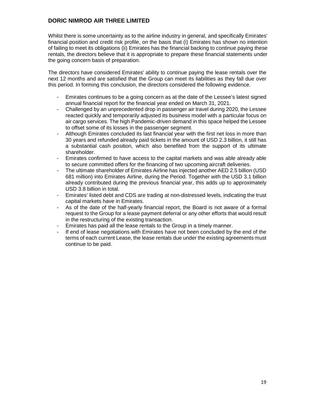Whilst there is some uncertainty as to the airline industry in general, and specifically Emirates' financial position and credit risk profile, on the basis that (i) Emirates has shown no intention of failing to meet its obligations (ii) Emirates has the financial backing to continue paying these rentals, the directors believe that it is appropriate to prepare these financial statements under the going concern basis of preparation.

The directors have considered Emirates' ability to continue paying the lease rentals over the next 12 months and are satisfied that the Group can meet its liabilities as they fall due over this period. In forming this conclusion, the directors considered the following evidence.

- Emirates continues to be a going concern as at the date of the Lessee's latest signed annual financial report for the financial year ended on March 31, 2021.
- Challenged by an unprecedented drop in passenger air travel during 2020, the Lessee reacted quickly and temporarily adjusted its business model with a particular focus on air cargo services. The high Pandemic-driven demand in this space helped the Lessee to offset some of its losses in the passenger segment.
- Although Emirates concluded its last financial year with the first net loss in more than 30 years and refunded already paid tickets in the amount of USD 2.3 billion, it still has a substantial cash position, which also benefited from the support of its ultimate shareholder.
- Emirates confirmed to have access to the capital markets and was able already able to secure committed offers for the financing of two upcoming aircraft deliveries.
- The ultimate shareholder of Emirates Airline has injected another AED 2.5 billion (USD 681 million) into Emirates Airline, during the Period. Together with the USD 3.1 billion already contributed during the previous financial year, this adds up to approximately USD 3.8 billion in total.
- Emirates' listed debt and CDS are trading at non-distressed levels, indicating the trust capital markets have in Emirates.
- As of the date of the half-yearly financial report, the Board is not aware of a formal request to the Group for a lease payment deferral or any other efforts that would result in the restructuring of the existing transaction.
- Emirates has paid all the lease rentals to the Group in a timely manner.
- If end of lease negotiations with Emirates have not been concluded by the end of the terms of each current Lease, the lease rentals due under the existing agreements must continue to be paid.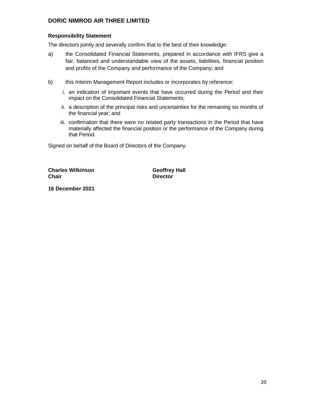### **Responsibility Statement**

The directors jointly and severally confirm that to the best of their knowledge:

- a) the Consolidated Financial Statements, prepared in accordance with IFRS give a fair, balanced and understandable view of the assets, liabilities, financial position and profits of the Company and performance of the Company; and
- b) this Interim Management Report includes or incorporates by reference:
	- i. an indication of important events that have occurred during the Period and their impact on the Consolidated Financial Statements;
	- ii. a description of the principal risks and uncertainties for the remaining six months of the financial year; and
	- iii. confirmation that there were no related party transactions in the Period that have materially affected the financial position or the performance of the Company during that Period.

Signed on behalf of the Board of Directors of the Company.

**Charles Wilkinson Geoffrey Hall Chair** Director

**16 December 2021**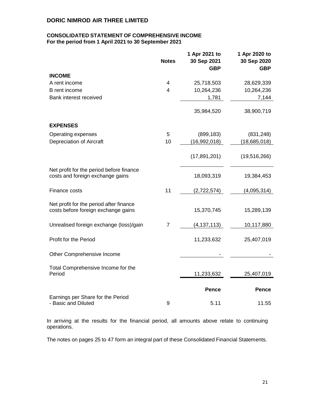#### **CONSOLIDATED STATEMENT OF COMPREHENSIVE INCOME For the period from 1 April 2021 to 30 September 2021**

|                                                                                | <b>Notes</b> | 1 Apr 2021 to<br>30 Sep 2021<br><b>GBP</b> | 1 Apr 2020 to<br>30 Sep 2020<br><b>GBP</b> |
|--------------------------------------------------------------------------------|--------------|--------------------------------------------|--------------------------------------------|
| <b>INCOME</b>                                                                  |              |                                            |                                            |
| A rent income                                                                  | 4            | 25,718,503                                 | 28,629,339                                 |
| <b>B</b> rent income                                                           | 4            | 10,264,236                                 | 10,264,236                                 |
| Bank interest received                                                         |              | 1,781                                      | 7,144                                      |
|                                                                                |              | 35,984,520                                 | 38,900,719                                 |
| <b>EXPENSES</b>                                                                |              |                                            |                                            |
| Operating expenses                                                             | 5            | (899, 183)                                 | (831, 248)                                 |
| Depreciation of Aircraft                                                       | 10           | (16,992,018)                               | (18,685,018)                               |
|                                                                                |              | (17, 891, 201)                             | (19,516,266)                               |
| Net profit for the period before finance<br>costs and foreign exchange gains   |              | 18,093,319                                 | 19,384,453                                 |
| Finance costs                                                                  | 11           | (2,722,574)                                | (4,095,314)                                |
| Net profit for the period after finance<br>costs before foreign exchange gains |              | 15,370,745                                 | 15,289,139                                 |
| Unrealised foreign exchange (loss)/gain                                        | 7            | (4, 137, 113)                              | 10,117,880                                 |
| Profit for the Period                                                          |              | 11,233,632                                 | 25,407,019                                 |
| Other Comprehensive Income                                                     |              |                                            |                                            |
| Total Comprehensive Income for the<br>Period                                   |              | 11,233,632                                 | 25,407,019                                 |
|                                                                                |              | <b>Pence</b>                               | <b>Pence</b>                               |
| Earnings per Share for the Period<br>- Basic and Diluted                       | 9            | 5.11                                       | 11.55                                      |

In arriving at the results for the financial period, all amounts above relate to continuing operations.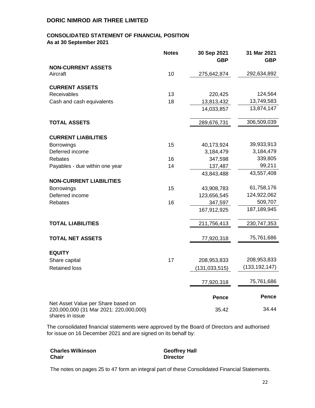# **CONSOLIDATED STATEMENT OF FINANCIAL POSITION**

**As at 30 September 2021**

|                                                                              | <b>Notes</b> | 30 Sep 2021<br><b>GBP</b> | 31 Mar 2021<br><b>GBP</b> |
|------------------------------------------------------------------------------|--------------|---------------------------|---------------------------|
| <b>NON-CURRENT ASSETS</b>                                                    |              |                           |                           |
| Aircraft                                                                     | 10           | 275,642,874               | 292,634,892               |
| <b>CURRENT ASSETS</b>                                                        |              |                           |                           |
| Receivables                                                                  | 13           | 220,425                   | 124,564                   |
| Cash and cash equivalents                                                    | 18           | 13,813,432                | 13,749,583                |
|                                                                              |              | 14,033,857                | 13,874,147                |
| <b>TOTAL ASSETS</b>                                                          |              | 289,676,731               | 306,509,039               |
| <b>CURRENT LIABILITIES</b>                                                   |              |                           |                           |
| <b>Borrowings</b>                                                            | 15           | 40,173,924                | 39,933,913                |
| Deferred income                                                              |              | 3,184,479                 | 3,184,479                 |
| Rebates                                                                      | 16           | 347,598                   | 339,805                   |
| Payables - due within one year                                               | 14           | 137,487                   | 99,211                    |
|                                                                              |              | 43,843,488                | 43,557,408                |
| <b>NON-CURRENT LIABILITIES</b>                                               |              |                           |                           |
| <b>Borrowings</b>                                                            | 15           | 43,908,783                | 61,758,176                |
| Deferred income                                                              |              | 123,656,545               | 124,922,062               |
| Rebates                                                                      | 16           | 347,597                   | 509,707                   |
|                                                                              |              | 167,912,925               | 187,189,945               |
| <b>TOTAL LIABILITIES</b>                                                     |              | 211,756,413               | 230,747,353               |
| <b>TOTAL NET ASSETS</b>                                                      |              | 77,920,318                | 75,761,686                |
|                                                                              |              |                           |                           |
| <b>EQUITY</b>                                                                |              |                           |                           |
| Share capital                                                                | 17           | 208,953,833               | 208,953,833               |
| <b>Retained loss</b>                                                         |              | (131, 033, 515)           | (133, 192, 147)           |
|                                                                              |              | 77,920,318                | 75,761,686                |
|                                                                              |              |                           |                           |
|                                                                              |              | <b>Pence</b>              | Pence                     |
| Net Asset Value per Share based on<br>220,000,000 (31 Mar 2021: 220,000,000) |              | 35.42                     | 34.44                     |

shares in issue

The consolidated financial statements were approved by the Board of Directors and authorised for issue on 16 December 2021 and are signed on its behalf by:

| <b>Charles Wilkinson</b> | <b>Geoffrey Hall</b> |
|--------------------------|----------------------|
| <b>Chair</b>             | <b>Director</b>      |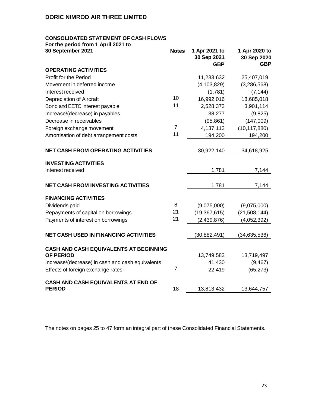# **CONSOLIDATED STATEMENT OF CASH FLOWS**

**For the period from 1 April 2021 to** 

| 30 September 2021                                                 | <b>Notes</b>   | 1 Apr 2021 to<br>30 Sep 2021<br><b>GBP</b> | 1 Apr 2020 to<br>30 Sep 2020<br><b>GBP</b> |
|-------------------------------------------------------------------|----------------|--------------------------------------------|--------------------------------------------|
| <b>OPERATING ACTIVITIES</b>                                       |                |                                            |                                            |
| Profit for the Period                                             |                | 11,233,632                                 | 25,407,019                                 |
| Movement in deferred income                                       |                | (4, 103, 829)                              | (3,286,568)                                |
| Interest received                                                 |                | (1,781)                                    | (7, 144)                                   |
| <b>Depreciation of Aircraft</b>                                   | 10             | 16,992,016                                 | 18,685,018                                 |
| Bond and EETC interest payable                                    | 11             | 2,528,373                                  | 3,901,114                                  |
| Increase/(decrease) in payables                                   |                | 38,277                                     | (9,825)                                    |
| Decrease in receivables                                           |                | (95, 861)                                  | (147,009)                                  |
| Foreign exchange movement                                         | $\overline{7}$ | 4,137,113                                  | (10, 117, 880)                             |
| Amortisation of debt arrangement costs                            | 11             | 194,200                                    | 194,200                                    |
| <b>NET CASH FROM OPERATING ACTIVITIES</b>                         |                | 30,922,140                                 | 34,618,925                                 |
| <b>INVESTING ACTIVITIES</b>                                       |                |                                            |                                            |
| Interest received                                                 |                | 1,781                                      | 7,144                                      |
|                                                                   |                |                                            |                                            |
| <b>NET CASH FROM INVESTING ACTIVITIES</b>                         |                | 1,781                                      | 7,144                                      |
| <b>FINANCING ACTIVITIES</b>                                       |                |                                            |                                            |
| Dividends paid                                                    | 8              | (9,075,000)                                | (9,075,000)                                |
| Repayments of capital on borrowings                               | 21             | (19, 367, 615)                             | (21,508,144)                               |
| Payments of interest on borrowings                                | 21             | (2,439,876)                                | (4,052,392)                                |
| <b>NET CASH USED IN FINANCING ACTIVITIES</b>                      |                | (30, 882, 491)                             | (34, 635, 536)                             |
|                                                                   |                |                                            |                                            |
| <b>CASH AND CASH EQUIVALENTS AT BEGINNING</b><br><b>OF PERIOD</b> |                | 13,749,583                                 | 13,719,497                                 |
| Increase/(decrease) in cash and cash equivalents                  |                | 41,430                                     | (9, 467)                                   |
| Effects of foreign exchange rates                                 | $\overline{7}$ | 22,419                                     | (65, 273)                                  |
|                                                                   |                |                                            |                                            |
| <b>CASH AND CASH EQUIVALENTS AT END OF</b><br><b>PERIOD</b>       | 18             | 13,813,432                                 | 13,644,757                                 |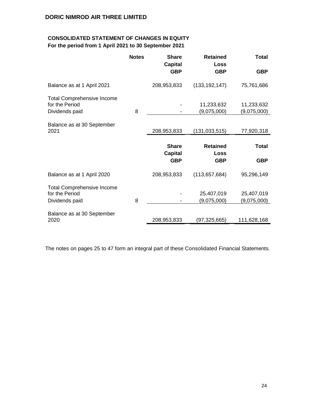# **CONSOLIDATED STATEMENT OF CHANGES IN EQUITY For the period from 1 April 2021 to 30 September 2021**

|                                                                       | <b>Notes</b> | <b>Share</b><br><b>Capital</b> | <b>Retained</b><br><b>Loss</b> | <b>Total</b>              |
|-----------------------------------------------------------------------|--------------|--------------------------------|--------------------------------|---------------------------|
|                                                                       |              | <b>GBP</b>                     | <b>GBP</b>                     | <b>GBP</b>                |
| Balance as at 1 April 2021                                            |              | 208,953,833                    | (133, 192, 147)                | 75,761,686                |
| <b>Total Comprehensive Income</b><br>for the Period<br>Dividends paid | 8            |                                | 11,233,632<br>(9,075,000)      | 11,233,632<br>(9,075,000) |
| Balance as at 30 September<br>2021                                    |              | 208,953,833                    | (131, 033, 515)                | 77,920,318                |
|                                                                       |              |                                |                                |                           |
|                                                                       |              | <b>Share</b>                   | <b>Retained</b><br>Loss        | <b>Total</b>              |
|                                                                       |              | <b>Capital</b><br><b>GBP</b>   | <b>GBP</b>                     | <b>GBP</b>                |
| Balance as at 1 April 2020                                            |              | 208,953,833                    | (113, 657, 684)                | 95,296,149                |
| <b>Total Comprehensive Income</b>                                     |              |                                |                                |                           |
| for the Period<br>Dividends paid                                      | 8            |                                | 25,407,019<br>(9,075,000)      | 25,407,019<br>(9,075,000) |
| Balance as at 30 September<br>2020                                    |              | 208,953,833                    | (97,325,665)                   | 111,628,168               |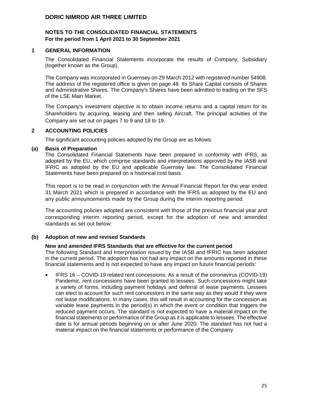### **NOTES TO THE CONSOLIDATED FINANCIAL STATEMENTS For the period from 1 April 2021 to 30 September 2021**

#### **1 GENERAL INFORMATION**

The Consolidated Financial Statements incorporate the results of Company, Subsidiary (together known as the Group).

The Company was incorporated in Guernsey on 29 March 2012 with registered number 54908. The address of the registered office is given on page 48. Its Share Capital consists of Shares and Administrative Shares. The Company's Shares have been admitted to trading on the SFS of the LSE Main Market.

The Company's investment objective is to obtain income returns and a capital return for its Shareholders by acquiring, leasing and then selling Aircraft. The principal activities of the Company are set out on pages 7 to 9 and 18 to 19.

#### **2 ACCOUNTING POLICIES**

The significant accounting policies adopted by the Group are as follows:

#### **(a) Basis of Preparation**

The Consolidated Financial Statements have been prepared in conformity with IFRS, as adopted by the EU, which comprise standards and interpretations approved by the IASB and IFRIC as adopted by the EU and applicable Guernsey law. The Consolidated Financial Statements have been prepared on a historical cost basis.

This report is to be read in conjunction with the Annual Financial Report for the year ended 31 March 2021 which is prepared in accordance with the IFRS as adopted by the EU and any public announcements made by the Group during the interim reporting period.

The accounting policies adopted are consistent with those of the previous financial year and corresponding interim reporting period, except for the adoption of new and amended standards as set out below:

#### **(b) Adoption of new and revised Standards**

#### **New and amended IFRS Standards that are effective for the current period**

The following Standard and Interpretation issued by the IASB and IFRIC has been adopted in the current period. The adoption has not had any impact on the amounts reported in these financial statements and is not expected to have any impact on future financial periods:

• IFRS 16 – COVID-19 related rent concessions. As a result of the coronavirus (COVID-19) Pandemic, rent concessions have been granted to lessees. Such concessions might take a variety of forms, including payment holidays and deferral of lease payments. Lessees can elect to account for such rent concessions in the same way as they would if they were not lease modifications. In many cases, this will result in accounting for the concession as variable lease payments in the period(s) in which the event or condition that triggers the reduced payment occurs. The standard is not expected to have a material impact on the financial statements or performance of the Group as it is applicable to lessees. The effective date is for annual periods beginning on or after June 2020. The standard has not had a material impact on the financial statements or performance of the Company.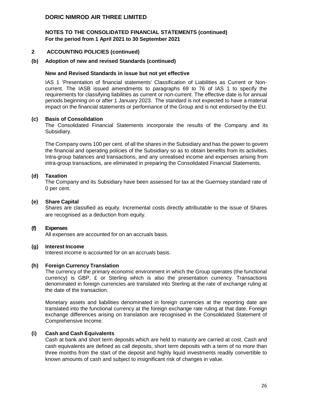# **NOTES TO THE CONSOLIDATED FINANCIAL STATEMENTS (continued) For the period from 1 April 2021 to 30 September 2021**

#### **2 ACCOUNTING POLICIES (continued)**

#### **(b) Adoption of new and revised Standards (continued)**

#### **New and Revised Standards in issue but not yet effective**

IAS 1 'Presentation of financial statements' Classification of Liabilities as Current or Noncurrent. The IASB issued amendments to paragraphs 69 to 76 of IAS 1 to specify the requirements for classifying liabilities as current or non-current. The effective date is for annual periods beginning on or after 1 January 2023. The standard is not expected to have a material impact on the financial statements or performance of the Group and is not endorsed by the EU.

#### **(c) Basis of Consolidation**

The Consolidated Financial Statements incorporate the results of the Company and its Subsidiary.

The Company owns 100 per cent. of all the shares in the Subsidiary and has the power to govern the financial and operating policies of the Subsidiary so as to obtain benefits from its activities. Intra-group balances and transactions, and any unrealised income and expenses arising from intra-group transactions, are eliminated in preparing the Consolidated Financial Statements.

#### **(d) Taxation**

The Company and its Subsidiary have been assessed for tax at the Guernsey standard rate of 0 per cent.

#### **(e) Share Capital**

Shares are classified as equity. Incremental costs directly attributable to the issue of Shares are recognised as a deduction from equity.

#### **(f) Expenses**

All expenses are accounted for on an accruals basis.

#### **(g) Interest Income**

Interest income is accounted for on an accruals basis.

#### **(h) Foreign Currency Translation**

The currency of the primary economic environment in which the Group operates (the functional currency) is GBP,  $E$  or Sterling which is also the presentation currency. Transactions denominated in foreign currencies are translated into Sterling at the rate of exchange ruling at the date of the transaction.

Monetary assets and liabilities denominated in foreign currencies at the reporting date are translated into the functional currency at the foreign exchange rate ruling at that date. Foreign exchange differences arising on translation are recognised in the Consolidated Statement of Comprehensive Income.

#### **(i) Cash and Cash Equivalents**

Cash at bank and short term deposits which are held to maturity are carried at cost. Cash and cash equivalents are defined as call deposits, short term deposits with a term of no more than three months from the start of the deposit and highly liquid investments readily convertible to known amounts of cash and subject to insignificant risk of changes in value.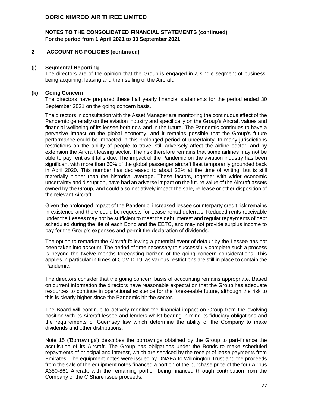#### **NOTES TO THE CONSOLIDATED FINANCIAL STATEMENTS (continued) For the period from 1 April 2021 to 30 September 2021**

#### **2 ACCOUNTING POLICIES (continued)**

#### **(j) Segmental Reporting**

The directors are of the opinion that the Group is engaged in a single segment of business, being acquiring, leasing and then selling of the Aircraft.

#### **(k) Going Concern**

The directors have prepared these half yearly financial statements for the period ended 30 September 2021 on the going concern basis.

The directors in consultation with the Asset Manager are monitoring the continuous effect of the Pandemic generally on the aviation industry and specifically on the Group's Aircraft values and financial wellbeing of its lessee both now and in the future. The Pandemic continues to have a pervasive impact on the global economy, and it remains possible that the Group's future performance could be impacted in this prolonged period of uncertainty. In many jurisdictions restrictions on the ability of people to travel still adversely affect the airline sector, and by extension the Aircraft leasing sector. The risk therefore remains that some airlines may not be able to pay rent as it falls due. The impact of the Pandemic on the aviation industry has been significant with more than 60% of the global passenger aircraft fleet temporarily grounded back in April 2020. This number has decreased to about 22% at the time of writing, but is still materially higher than the historical average. These factors, together with wider economic uncertainty and disruption, have had an adverse impact on the future value of the Aircraft assets owned by the Group, and could also negatively impact the sale, re-lease or other disposition of the relevant Aircraft.

Given the prolonged impact of the Pandemic, increased lessee counterparty credit risk remains in existence and there could be requests for Lease rental deferrals. Reduced rents receivable under the Leases may not be sufficient to meet the debt interest and regular repayments of debt scheduled during the life of each Bond and the EETC, and may not provide surplus income to pay for the Group's expenses and permit the declaration of dividends.

The option to remarket the Aircraft following a potential event of default by the Lessee has not been taken into account. The period of time necessary to successfully complete such a process is beyond the twelve months forecasting horizon of the going concern considerations. This applies in particular in times of COVID-19, as various restrictions are still in place to contain the Pandemic.

The directors consider that the going concern basis of accounting remains appropriate. Based on current information the directors have reasonable expectation that the Group has adequate resources to continue in operational existence for the foreseeable future, although the risk to this is clearly higher since the Pandemic hit the sector.

The Board will continue to actively monitor the financial impact on Group from the evolving position with its Aircraft lessee and lenders whilst bearing in mind its fiduciary obligations and the requirements of Guernsey law which determine the ability of the Company to make dividends and other distributions.

Note 15 ('Borrowings') describes the borrowings obtained by the Group to part-finance the acquisition of its Aircraft. The Group has obligations under the Bonds to make scheduled repayments of principal and interest, which are serviced by the receipt of lease payments from Emirates. The equipment notes were issued by DNAFA to Wilmington Trust and the proceeds from the sale of the equipment notes financed a portion of the purchase price of the four Airbus A380-861 Aircraft, with the remaining portion being financed through contribution from the Company of the C Share issue proceeds.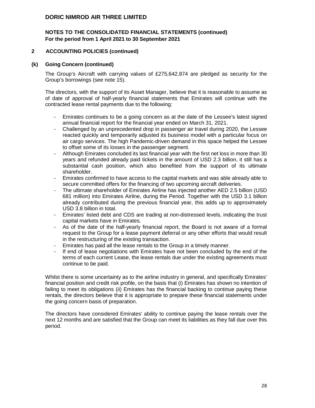# **NOTES TO THE CONSOLIDATED FINANCIAL STATEMENTS (continued) For the period from 1 April 2021 to 30 September 2021**

#### **2 ACCOUNTING POLICIES (continued)**

#### **(k) Going Concern (continued)**

The Group's Aircraft with carrying values of £275,642,874 are pledged as security for the Group's borrowings (see note 15).

The directors, with the support of its Asset Manager, believe that it is reasonable to assume as of date of approval of half-yearly financial statements that Emirates will continue with the contracted lease rental payments due to the following:

- Emirates continues to be a going concern as at the date of the Lessee's latest signed annual financial report for the financial year ended on March 31, 2021.
- Challenged by an unprecedented drop in passenger air travel during 2020, the Lessee reacted quickly and temporarily adjusted its business model with a particular focus on air cargo services. The high Pandemic-driven demand in this space helped the Lessee to offset some of its losses in the passenger segment.
- Although Emirates concluded its last financial year with the first net loss in more than 30 years and refunded already paid tickets in the amount of USD 2.3 billion, it still has a substantial cash position, which also benefited from the support of its ultimate shareholder.
- Emirates confirmed to have access to the capital markets and was able already able to secure committed offers for the financing of two upcoming aircraft deliveries.
- The ultimate shareholder of Emirates Airline has injected another AED 2.5 billion (USD 681 million) into Emirates Airline, during the Period. Together with the USD 3.1 billion already contributed during the previous financial year, this adds up to approximately USD 3.8 billion in total.
- Emirates' listed debt and CDS are trading at non-distressed levels, indicating the trust capital markets have in Emirates.
- As of the date of the half-yearly financial report, the Board is not aware of a formal request to the Group for a lease payment deferral or any other efforts that would result in the restructuring of the existing transaction.
- Emirates has paid all the lease rentals to the Group in a timely manner.
- If end of lease negotiations with Emirates have not been concluded by the end of the terms of each current Lease, the lease rentals due under the existing agreements must continue to be paid.

Whilst there is some uncertainty as to the airline industry in general, and specifically Emirates' financial position and credit risk profile, on the basis that (i) Emirates has shown no intention of failing to meet its obligations (ii) Emirates has the financial backing to continue paying these rentals, the directors believe that it is appropriate to prepare these financial statements under the going concern basis of preparation.

The directors have considered Emirates' ability to continue paying the lease rentals over the next 12 months and are satisfied that the Group can meet its liabilities as they fall due over this period.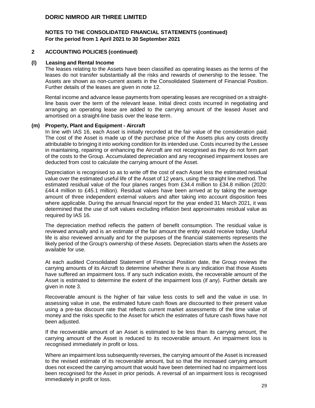# **NOTES TO THE CONSOLIDATED FINANCIAL STATEMENTS (continued) For the period from 1 April 2021 to 30 September 2021**

#### **2 ACCOUNTING POLICIES (continued)**

#### **(l) Leasing and Rental Income**

The leases relating to the Assets have been classified as operating leases as the terms of the leases do not transfer substantially all the risks and rewards of ownership to the lessee. The Assets are shown as non-current assets in the Consolidated Statement of Financial Position. Further details of the leases are given in note 12.

Rental income and advance lease payments from operating leases are recognised on a straightline basis over the term of the relevant lease. Initial direct costs incurred in negotiating and arranging an operating lease are added to the carrying amount of the leased Asset and amortised on a straight-line basis over the lease term.

#### **(m) Property, Plant and Equipment - Aircraft**

In line with IAS 16, each Asset is initially recorded at the fair value of the consideration paid. The cost of the Asset is made up of the purchase price of the Assets plus any costs directly attributable to bringing it into working condition for its intended use. Costs incurred by the Lessee in maintaining, repairing or enhancing the Aircraft are not recognised as they do not form part of the costs to the Group. Accumulated depreciation and any recognised impairment losses are deducted from cost to calculate the carrying amount of the Asset.

Depreciation is recognised so as to write off the cost of each Asset less the estimated residual value over the estimated useful life of the Asset of 12 years, using the straight line method. The estimated residual value of the four planes ranges from £34.4 million to £34.8 million (2020: £44.4 million to £45.1 million). Residual values have been arrived at by taking the average amount of three independent external valuers and after taking into account disposition fees where applicable. During the annual financial report for the year ended 31 March 2021, it was determined that the use of soft values excluding inflation best approximates residual value as required by IAS 16.

The depreciation method reflects the pattern of benefit consumption. The residual value is reviewed annually and is an estimate of the fair amount the entity would receive today. Useful life is also reviewed annually and for the purposes of the financial statements represents the likely period of the Group's ownership of these Assets. Depreciation starts when the Assets are available for use.

At each audited Consolidated Statement of Financial Position date, the Group reviews the carrying amounts of its Aircraft to determine whether there is any indication that those Assets have suffered an impairment loss. If any such indication exists, the recoverable amount of the Asset is estimated to determine the extent of the impairment loss (if any). Further details are given in note 3.

Recoverable amount is the higher of fair value less costs to sell and the value in use. In assessing value in use, the estimated future cash flows are discounted to their present value using a pre-tax discount rate that reflects current market assessments of the time value of money and the risks specific to the Asset for which the estimates of future cash flows have not been adjusted.

If the recoverable amount of an Asset is estimated to be less than its carrying amount, the carrying amount of the Asset is reduced to its recoverable amount. An impairment loss is recognised immediately in profit or loss.

Where an impairment loss subsequently reverses, the carrying amount of the Asset is increased to the revised estimate of its recoverable amount, but so that the increased carrying amount does not exceed the carrying amount that would have been determined had no impairment loss been recognised for the Asset in prior periods. A reversal of an impairment loss is recognised immediately in profit or loss.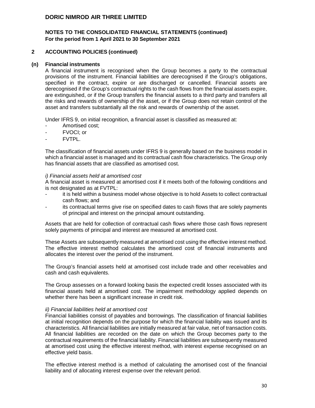# **NOTES TO THE CONSOLIDATED FINANCIAL STATEMENTS (continued) For the period from 1 April 2021 to 30 September 2021**

#### **2 ACCOUNTING POLICIES (continued)**

#### **(n) Financial instruments**

A financial instrument is recognised when the Group becomes a party to the contractual provisions of the instrument. Financial liabilities are derecognised if the Group's obligations, specified in the contract, expire or are discharged or cancelled. Financial assets are derecognised if the Group's contractual rights to the cash flows from the financial assets expire, are extinguished, or if the Group transfers the financial assets to a third party and transfers all the risks and rewards of ownership of the asset, or if the Group does not retain control of the asset and transfers substantially all the risk and rewards of ownership of the asset.

Under IFRS 9, on initial recognition, a financial asset is classified as measured at:

- Amortised cost:
- FVOCI; or
- FVTPL.

The classification of financial assets under IFRS 9 is generally based on the business model in which a financial asset is managed and its contractual cash flow characteristics. The Group only has financial assets that are classified as amortised cost.

#### *i) Financial assets held at amortised cost*

A financial asset is measured at amortised cost if it meets both of the following conditions and is not designated as at FVTPL:

- it is held within a business model whose objective is to hold Assets to collect contractual cash flows; and
- its contractual terms give rise on specified dates to cash flows that are solely payments of principal and interest on the principal amount outstanding.

Assets that are held for collection of contractual cash flows where those cash flows represent solely payments of principal and interest are measured at amortised cost.

These Assets are subsequently measured at amortised cost using the effective interest method. The effective interest method calculates the amortised cost of financial instruments and allocates the interest over the period of the instrument.

The Group's financial assets held at amortised cost include trade and other receivables and cash and cash equivalents.

The Group assesses on a forward looking basis the expected credit losses associated with its financial assets held at amortised cost. The impairment methodology applied depends on whether there has been a significant increase in credit risk.

#### *ii) Financial liabilities held at amortised cost*

Financial liabilities consist of payables and borrowings. The classification of financial liabilities at initial recognition depends on the purpose for which the financial liability was issued and its characteristics. All financial liabilities are initially measured at fair value, net of transaction costs. All financial liabilities are recorded on the date on which the Group becomes party to the contractual requirements of the financial liability. Financial liabilities are subsequently measured at amortised cost using the effective interest method, with interest expense recognised on an effective yield basis.

The effective interest method is a method of calculating the amortised cost of the financial liability and of allocating interest expense over the relevant period.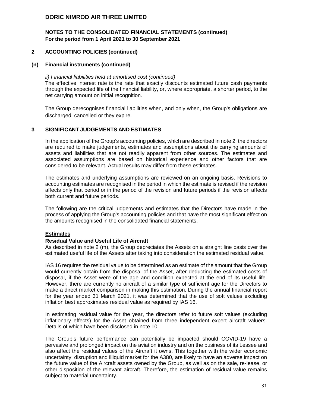# **NOTES TO THE CONSOLIDATED FINANCIAL STATEMENTS (continued) For the period from 1 April 2021 to 30 September 2021**

#### **2 ACCOUNTING POLICIES (continued)**

#### **(n) Financial instruments (continued)**

*ii) Financial liabilities held at amortised cost (continued)*  The effective interest rate is the rate that exactly discounts estimated future cash payments through the expected life of the financial liability, or, where appropriate, a shorter period, to the net carrying amount on initial recognition.

The Group derecognises financial liabilities when, and only when, the Group's obligations are discharged, cancelled or they expire.

#### **3 SIGNIFICANT JUDGEMENTS AND ESTIMATES**

In the application of the Group's accounting policies, which are described in note 2, the directors are required to make judgements, estimates and assumptions about the carrying amounts of assets and liabilities that are not readily apparent from other sources. The estimates and associated assumptions are based on historical experience and other factors that are considered to be relevant. Actual results may differ from these estimates.

The estimates and underlying assumptions are reviewed on an ongoing basis. Revisions to accounting estimates are recognised in the period in which the estimate is revised if the revision affects only that period or in the period of the revision and future periods if the revision affects both current and future periods.

The following are the critical judgements and estimates that the Directors have made in the process of applying the Group's accounting policies and that have the most significant effect on the amounts recognised in the consolidated financial statements.

#### **Estimates**

#### **Residual Value and Useful Life of Aircraft**

As described in note 2 (m), the Group depreciates the Assets on a straight line basis over the estimated useful life of the Assets after taking into consideration the estimated residual value.

IAS 16 requires the residual value to be determined as an estimate of the amount that the Group would currently obtain from the disposal of the Asset, after deducting the estimated costs of disposal, if the Asset were of the age and condition expected at the end of its useful life. However, there are currently no aircraft of a similar type of sufficient age for the Directors to make a direct market comparison in making this estimation. During the annual financial report for the year ended 31 March 2021, it was determined that the use of soft values excluding inflation best approximates residual value as required by IAS 16.

In estimating residual value for the year, the directors refer to future soft values (excluding inflationary effects) for the Asset obtained from three independent expert aircraft valuers. Details of which have been disclosed in note 10.

The Group's future performance can potentially be impacted should COVID-19 have a pervasive and prolonged impact on the aviation industry and on the business of its Lessee and also affect the residual values of the Aircraft it owns. This together with the wider economic uncertainty, disruption and illiquid market for the A380, are likely to have an adverse impact on the future value of the Aircraft assets owned by the Group, as well as on the sale, re-lease, or other disposition of the relevant aircraft. Therefore, the estimation of residual value remains subject to material uncertainty.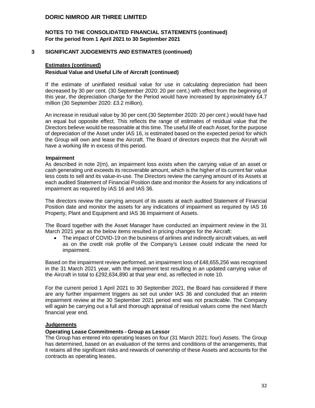### **NOTES TO THE CONSOLIDATED FINANCIAL STATEMENTS (continued) For the period from 1 April 2021 to 30 September 2021**

#### **3 SIGNIFICANT JUDGEMENTS AND ESTIMATES (continued)**

#### **Estimates (continued)**

#### **Residual Value and Useful Life of Aircraft (continued)**

If the estimate of uninflated residual value for use in calculating depreciation had been decreased by 30 per cent. (30 September 2020: 20 per cent.) with effect from the beginning of this year, the depreciation charge for the Period would have increased by approximately £4.7 million (30 September 2020: £3.2 million).

An increase in residual value by 30 per cent.(30 September 2020: 20 per cent.) would have had an equal but opposite effect. This reflects the range of estimates of residual value that the Directors believe would be reasonable at this time. The useful life of each Asset, for the purpose of depreciation of the Asset under IAS 16, is estimated based on the expected period for which the Group will own and lease the Aircraft. The Board of directors expects that the Aircraft will have a working life in excess of this period.

#### **Impairment**

As described in note 2(m), an impairment loss exists when the carrying value of an asset or cash generating unit exceeds its recoverable amount, which is the higher of its current fair value less costs to sell and its value-in-use. The Directors review the carrying amount of its Assets at each audited Statement of Financial Position date and monitor the Assets for any indications of impairment as required by IAS 16 and IAS 36.

The directors review the carrying amount of its assets at each audited Statement of Financial Position date and monitor the assets for any indications of impairment as required by IAS 16 Property, Plant and Equipment and IAS 36 Impairment of Assets.

The Board together with the Asset Manager have conducted an impairment review in the 31 March 2021 year as the below items resulted in pricing changes for the Aircraft:

• The impact of COVID-19 on the business of airlines and indirectly aircraft values, as well as on the credit risk profile of the Company's Lessee could indicate the need for impairment.

Based on the impairment review performed, an impairment loss of £48,655,256 was recognised in the 31 March 2021 year, with the impairment test resulting in an updated carrying value of the Aircraft in total to £292,634,890 at that year end, as reflected in note 10.

For the current period 1 April 2021 to 30 September 2021, the Board has considered if there are any further impairment triggers as set out under IAS 36 and concluded that an interim impairment review at the 30 September 2021 period end was not practicable. The Company will again be carrying out a full and thorough appraisal of residual values come the next March financial year end.

#### **Judgements**

#### **Operating Lease Commitments - Group as Lessor**

The Group has entered into operating leases on four (31 March 2021: four) Assets. The Group has determined, based on an evaluation of the terms and conditions of the arrangements, that it retains all the significant risks and rewards of ownership of these Assets and accounts for the contracts as operating leases.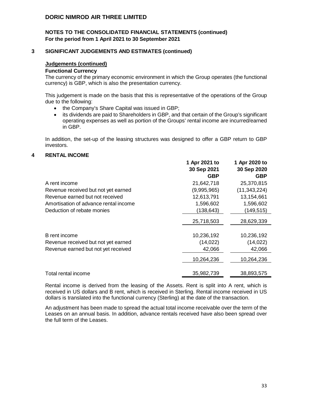### **NOTES TO THE CONSOLIDATED FINANCIAL STATEMENTS (continued) For the period from 1 April 2021 to 30 September 2021**

#### **3 SIGNIFICANT JUDGEMENTS AND ESTIMATES (continued)**

#### **Judgements (continued)**

#### **Functional Currency**

The currency of the primary economic environment in which the Group operates (the functional currency) is GBP, which is also the presentation currency.

This judgement is made on the basis that this is representative of the operations of the Group due to the following:

- the Company's Share Capital was issued in GBP;
- its dividends are paid to Shareholders in GBP, and that certain of the Group's significant operating expenses as well as portion of the Groups' rental income are incurred/earned in GBP.

In addition, the set-up of the leasing structures was designed to offer a GBP return to GBP investors.

#### **4 RENTAL INCOME**

|                                       | 1 Apr 2021 to | 1 Apr 2020 to  |
|---------------------------------------|---------------|----------------|
|                                       | 30 Sep 2021   | 30 Sep 2020    |
|                                       | <b>GBP</b>    | <b>GBP</b>     |
| A rent income                         | 21,642,718    | 25,370,815     |
| Revenue received but not yet earned   | (9,995,965)   | (11, 343, 224) |
| Revenue earned but not received       | 12,613,791    | 13,154,661     |
| Amortisation of advance rental income | 1,596,602     | 1,596,602      |
| Deduction of rebate monies            | (138, 643)    | (149, 515)     |
|                                       | 25,718,503    | 28,629,339     |
|                                       |               |                |
| B rent income                         | 10,236,192    | 10,236,192     |
| Revenue received but not yet earned   | (14, 022)     | (14, 022)      |
| Revenue earned but not yet received   | 42,066        | 42,066         |
|                                       | 10,264,236    | 10,264,236     |
| Total rental income                   | 35,982,739    | 38,893,575     |
|                                       |               |                |

Rental income is derived from the leasing of the Assets. Rent is split into A rent, which is received in US dollars and B rent, which is received in Sterling. Rental income received in US dollars is translated into the functional currency (Sterling) at the date of the transaction.

An adjustment has been made to spread the actual total income receivable over the term of the Leases on an annual basis. In addition, advance rentals received have also been spread over the full term of the Leases.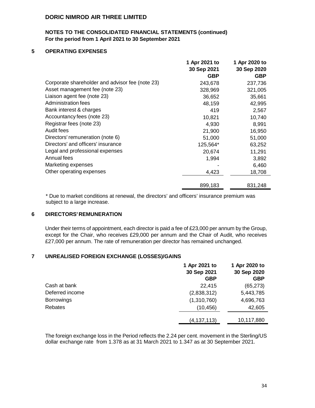### **NOTES TO THE CONSOLIDATED FINANCIAL STATEMENTS (continued) For the period from 1 April 2021 to 30 September 2021**

### **5 OPERATING EXPENSES**

|                                                 | 1 Apr 2021 to | 1 Apr 2020 to |
|-------------------------------------------------|---------------|---------------|
|                                                 | 30 Sep 2021   | 30 Sep 2020   |
|                                                 | <b>GBP</b>    | <b>GBP</b>    |
| Corporate shareholder and advisor fee (note 23) | 243,678       | 237,736       |
| Asset management fee (note 23)                  | 328,969       | 321,005       |
| Liaison agent fee (note 23)                     | 36,652        | 35,661        |
| Administration fees                             | 48,159        | 42,995        |
| Bank interest & charges                         | 419           | 2,567         |
| Accountancy fees (note 23)                      | 10,821        | 10,740        |
| Registrar fees (note 23)                        | 4,930         | 8,991         |
| Audit fees                                      | 21,900        | 16,950        |
| Directors' remuneration (note 6)                | 51,000        | 51,000        |
| Directors' and officers' insurance              | 125,564*      | 63,252        |
| Legal and professional expenses                 | 20,674        | 11,291        |
| Annual fees                                     | 1,994         | 3,892         |
| Marketing expenses                              |               | 6,460         |
| Other operating expenses                        | 4,423         | 18,708        |
|                                                 | 899,183       | 831,248       |

\* Due to market conditions at renewal, the directors' and officers' insurance premium was subject to a large increase.

#### **6 DIRECTORS' REMUNERATION**

Under their terms of appointment, each director is paid a fee of £23,000 per annum by the Group, except for the Chair, who receives £29,000 per annum and the Chair of Audit, who receives £27,000 per annum. The rate of remuneration per director has remained unchanged.

#### **7 UNREALISED FOREIGN EXCHANGE (LOSSES)/GAINS**

|                   | 1 Apr 2021 to<br>30 Sep 2021<br><b>GBP</b> | 1 Apr 2020 to<br>30 Sep 2020<br><b>GBP</b> |
|-------------------|--------------------------------------------|--------------------------------------------|
| Cash at bank      | 22,415                                     | (65, 273)                                  |
| Deferred income   | (2,838,312)                                | 5,443,785                                  |
| <b>Borrowings</b> | (1,310,760)                                | 4,696,763                                  |
| Rebates           | (10, 456)                                  | 42,605                                     |
|                   | (4, 137, 113)                              | 10,117,880                                 |

The foreign exchange loss in the Period reflects the 2.24 per cent. movement in the Sterling/US dollar exchange rate from 1.378 as at 31 March 2021 to 1.347 as at 30 September 2021.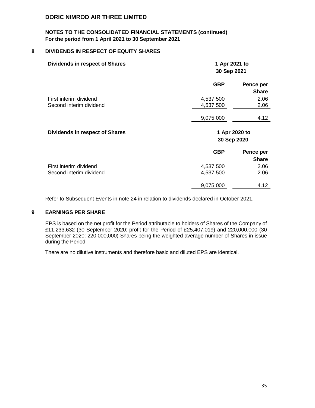#### **NOTES TO THE CONSOLIDATED FINANCIAL STATEMENTS (continued) For the period from 1 April 2021 to 30 September 2021**

#### **8 DIVIDENDS IN RESPECT OF EQUITY SHARES**

| <b>Dividends in respect of Shares</b>             | 1 Apr 2021 to<br>30 Sep 2021 |                           |  |
|---------------------------------------------------|------------------------------|---------------------------|--|
|                                                   | <b>GBP</b>                   | Pence per<br><b>Share</b> |  |
| First interim dividend                            | 4,537,500                    | 2.06                      |  |
| Second interim dividend                           | 4,537,500                    | 2.06                      |  |
|                                                   | 9,075,000                    | 4.12                      |  |
|                                                   | 1 Apr 2020 to<br>30 Sep 2020 |                           |  |
| <b>Dividends in respect of Shares</b>             |                              |                           |  |
|                                                   | <b>GBP</b>                   | Pence per<br><b>Share</b> |  |
|                                                   |                              |                           |  |
| First interim dividend<br>Second interim dividend | 4,537,500<br>4,537,500       | 2.06<br>2.06              |  |

Refer to Subsequent Events in note 24 in relation to dividends declared in October 2021.

#### **9 EARNINGS PER SHARE**

EPS is based on the net profit for the Period attributable to holders of Shares of the Company of £11,233,632 (30 September 2020: profit for the Period of £25,407,019) and 220,000,000 (30 September 2020: 220,000,000) Shares being the weighted average number of Shares in issue during the Period.

There are no dilutive instruments and therefore basic and diluted EPS are identical.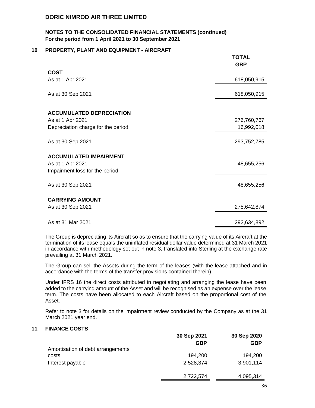#### **NOTES TO THE CONSOLIDATED FINANCIAL STATEMENTS (continued) For the period from 1 April 2021 to 30 September 2021**

#### **10 PROPERTY, PLANT AND EQUIPMENT - AIRCRAFT**

|                                                   | <b>TOTAL</b><br><b>GBP</b> |
|---------------------------------------------------|----------------------------|
| <b>COST</b>                                       |                            |
| As at 1 Apr 2021                                  | 618,050,915                |
| As at 30 Sep 2021                                 | 618,050,915                |
| <b>ACCUMULATED DEPRECIATION</b>                   |                            |
| As at 1 Apr 2021                                  | 276,760,767                |
| Depreciation charge for the period                | 16,992,018                 |
| As at 30 Sep 2021                                 | 293,752,785                |
| <b>ACCUMULATED IMPAIRMENT</b><br>As at 1 Apr 2021 | 48,655,256                 |
| Impairment loss for the period                    |                            |
| As at 30 Sep 2021                                 | 48,655,256                 |
| <b>CARRYING AMOUNT</b>                            |                            |
| As at 30 Sep 2021                                 | 275,642,874                |
|                                                   |                            |
| As at 31 Mar 2021                                 | 292,634,892                |

The Group is depreciating its Aircraft so as to ensure that the carrying value of its Aircraft at the termination of its lease equals the uninflated residual dollar value determined at 31 March 2021 in accordance with methodology set out in note 3, translated into Sterling at the exchange rate prevailing at 31 March 2021.

The Group can sell the Assets during the term of the leases (with the lease attached and in accordance with the terms of the transfer provisions contained therein).

Under IFRS 16 the direct costs attributed in negotiating and arranging the lease have been added to the carrying amount of the Asset and will be recognised as an expense over the lease term. The costs have been allocated to each Aircraft based on the proportional cost of the Asset.

Refer to note 3 for details on the impairment review conducted by the Company as at the 31 March 2021 year end.

### **11 FINANCE COSTS**

|                                   | 30 Sep 2021 | 30 Sep 2020 |
|-----------------------------------|-------------|-------------|
|                                   | GBP         | GBP         |
| Amortisation of debt arrangements |             |             |
| costs                             | 194,200     | 194,200     |
| Interest payable                  | 2,528,374   | 3,901,114   |
|                                   |             |             |
|                                   | 2,722,574   | 4,095,314   |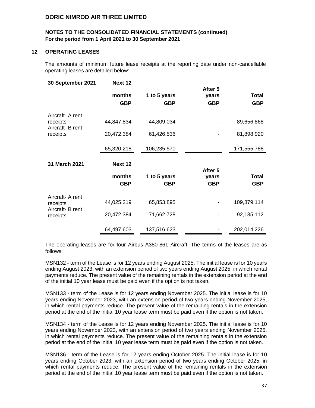#### **NOTES TO THE CONSOLIDATED FINANCIAL STATEMENTS (continued) For the period from 1 April 2021 to 30 September 2021**

#### **12 OPERATING LEASES**

The amounts of minimum future lease receipts at the reporting date under non-cancellable operating leases are detailed below:

| 30 September 2021            | Next 12              |                     | After 5             |                     |
|------------------------------|----------------------|---------------------|---------------------|---------------------|
|                              | months               | 1 to 5 years        | years               | Total               |
|                              | <b>GBP</b>           | GBP                 | <b>GBP</b>          | <b>GBP</b>          |
| Aircraft- A rent             |                      |                     |                     |                     |
| receipts<br>Aircraft- B rent | 44,847,834           | 44,809,034          |                     | 89,656,868          |
| receipts                     | 20,472,384           | 61,426,536          |                     | 81,898,920          |
|                              | 65,320,218           | 106,235,570         |                     | 171,555,788         |
|                              |                      |                     |                     |                     |
| 31 March 2021                | Next 12              |                     | After 5             |                     |
|                              | months<br><b>GBP</b> | 1 to 5 years<br>GBP | vears<br><b>GBP</b> | Total<br><b>GBP</b> |
| Aircraft- A rent<br>receipts | 44,025,219           | 65,853,895          |                     | 109,879,114         |
| Aircraft- B rent<br>receipts | 20,472,384           | 71,662,728          |                     | 92,135,112          |
|                              | 64,497,603           | 137,516,623         |                     | 202,014,226         |

The operating leases are for four Airbus A380-861 Aircraft. The terms of the leases are as follows:

MSN132 - term of the Lease is for 12 years ending August 2025. The initial lease is for 10 years ending August 2023, with an extension period of two years ending August 2025, in which rental payments reduce. The present value of the remaining rentals in the extension period at the end of the initial 10 year lease must be paid even if the option is not taken.

MSN133 - term of the Lease is for 12 years ending November 2025. The initial lease is for 10 years ending November 2023, with an extension period of two years ending November 2025, in which rental payments reduce. The present value of the remaining rentals in the extension period at the end of the initial 10 year lease term must be paid even if the option is not taken.

MSN134 - term of the Lease is for 12 years ending November 2025. The initial lease is for 10 years ending November 2023, with an extension period of two years ending November 2025, in which rental payments reduce. The present value of the remaining rentals in the extension period at the end of the initial 10 year lease term must be paid even if the option is not taken.

MSN136 - term of the Lease is for 12 years ending October 2025. The initial lease is for 10 years ending October 2023, with an extension period of two years ending October 2025, in which rental payments reduce. The present value of the remaining rentals in the extension period at the end of the initial 10 year lease term must be paid even if the option is not taken.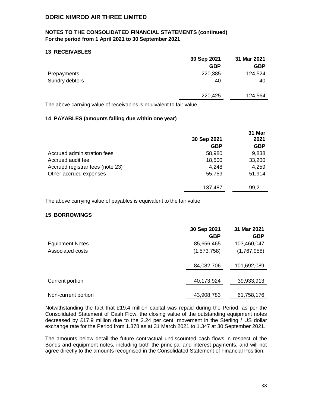# **NOTES TO THE CONSOLIDATED FINANCIAL STATEMENTS (continued) For the period from 1 April 2021 to 30 September 2021**

#### **13 RECEIVABLES**

|                | 30 Sep 2021 | 31 Mar 2021 |
|----------------|-------------|-------------|
|                | <b>GBP</b>  | <b>GBP</b>  |
| Prepayments    | 220,385     | 124,524     |
| Sundry debtors | 40          | 40          |
|                |             |             |
|                | 220,425     | 124,564     |
|                |             |             |

The above carrying value of receivables is equivalent to fair value.

#### **14 PAYABLES (amounts falling due within one year)**

|                                  | 30 Sep 2021<br><b>GBP</b> | 31 Mar<br>2021<br><b>GBP</b> |
|----------------------------------|---------------------------|------------------------------|
| Accrued administration fees      | 58,980                    | 9,838                        |
| Accrued audit fee                | 18,500                    | 33,200                       |
| Accrued registrar fees (note 23) | 4,248                     | 4,259                        |
| Other accrued expenses           | 55,759                    | 51,914                       |
|                                  | 137,487                   | 99,211                       |

The above carrying value of payables is equivalent to the fair value.

#### **15 BORROWINGS**

|                        | 30 Sep 2021<br><b>GBP</b> | 31 Mar 2021<br><b>GBP</b> |
|------------------------|---------------------------|---------------------------|
| <b>Equipment Notes</b> | 85,656,465                | 103,460,047               |
| Associated costs       | (1,573,758)               | (1,767,958)               |
|                        | 84,082,706                | 101,692,089               |
| Current portion        | 40,173,924                | 39,933,913                |
| Non-current portion    | 43,908,783                | 61,758,176                |

Notwithstanding the fact that £19.4 million capital was repaid during the Period, as per the Consolidated Statement of Cash Flow, the closing value of the outstanding equipment notes decreased by £17.9 million due to the 2.24 per cent. movement in the Sterling / US dollar exchange rate for the Period from 1.378 as at 31 March 2021 to 1.347 at 30 September 2021.

The amounts below detail the future contractual undiscounted cash flows in respect of the Bonds and equipment notes, including both the principal and interest payments, and will not agree directly to the amounts recognised in the Consolidated Statement of Financial Position: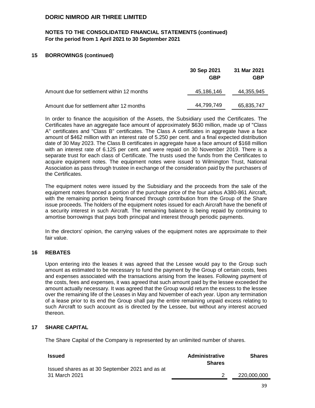# **NOTES TO THE CONSOLIDATED FINANCIAL STATEMENTS (continued) For the period from 1 April 2021 to 30 September 2021**

#### **15 BORROWINGS (continued)**

|                                            | 30 Sep 2021<br><b>GBP</b> | 31 Mar 2021<br>GBP |
|--------------------------------------------|---------------------------|--------------------|
| Amount due for settlement within 12 months | 45,186,146                | 44,355,945         |
| Amount due for settlement after 12 months  | 44,799,749                | 65,835,747         |

In order to finance the acquisition of the Assets, the Subsidiary used the Certificates. The Certificates have an aggregate face amount of approximately \$630 million, made up of "Class A" certificates and "Class B" certificates. The Class A certificates in aggregate have a face amount of \$462 million with an interest rate of 5.250 per cent. and a final expected distribution date of 30 May 2023. The Class B certificates in aggregate have a face amount of \$168 million with an interest rate of 6.125 per cent. and were repaid on 30 November 2019. There is a separate trust for each class of Certificate. The trusts used the funds from the Certificates to acquire equipment notes. The equipment notes were issued to Wilmington Trust, National Association as pass through trustee in exchange of the consideration paid by the purchasers of the Certificates.

The equipment notes were issued by the Subsidiary and the proceeds from the sale of the equipment notes financed a portion of the purchase price of the four airbus A380-861 Aircraft, with the remaining portion being financed through contribution from the Group of the Share issue proceeds. The holders of the equipment notes issued for each Aircraft have the benefit of a security interest in such Aircraft. The remaining balance is being repaid by continuing to amortise borrowings that pays both principal and interest through periodic payments.

In the directors' opinion, the carrying values of the equipment notes are approximate to their fair value.

#### **16 REBATES**

Upon entering into the leases it was agreed that the Lessee would pay to the Group such amount as estimated to be necessary to fund the payment by the Group of certain costs, fees and expenses associated with the transactions arising from the leases. Following payment of the costs, fees and expenses, it was agreed that such amount paid by the lessee exceeded the amount actually necessary. It was agreed that the Group would return the excess to the lessee over the remaining life of the Leases in May and November of each year. Upon any termination of a lease prior to its end the Group shall pay the entire remaining unpaid excess relating to such Aircraft to such account as is directed by the Lessee, but without any interest accrued thereon.

#### **17 SHARE CAPITAL**

The Share Capital of the Company is represented by an unlimited number of shares.

| <b>Issued</b>                                                    | Administrative<br><b>Shares</b> | <b>Shares</b> |
|------------------------------------------------------------------|---------------------------------|---------------|
| Issued shares as at 30 September 2021 and as at<br>31 March 2021 |                                 | 220,000,000   |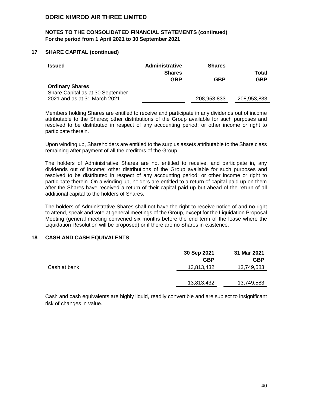# **NOTES TO THE CONSOLIDATED FINANCIAL STATEMENTS (continued) For the period from 1 April 2021 to 30 September 2021**

#### **17 SHARE CAPITAL (continued)**

| <b>Issued</b>                                                                              | <b>Administrative</b><br><b>Shares</b><br><b>GBP</b> | <b>Shares</b><br>GBP | Total<br><b>GBP</b> |
|--------------------------------------------------------------------------------------------|------------------------------------------------------|----------------------|---------------------|
| <b>Ordinary Shares</b><br>Share Capital as at 30 September<br>2021 and as at 31 March 2021 | $\blacksquare$                                       | 208,953,833          | 208,953,833         |
|                                                                                            |                                                      |                      |                     |

Members holding Shares are entitled to receive and participate in any dividends out of income attributable to the Shares; other distributions of the Group available for such purposes and resolved to be distributed in respect of any accounting period; or other income or right to participate therein.

Upon winding up, Shareholders are entitled to the surplus assets attributable to the Share class remaining after payment of all the creditors of the Group.

The holders of Administrative Shares are not entitled to receive, and participate in, any dividends out of income; other distributions of the Group available for such purposes and resolved to be distributed in respect of any accounting period; or other income or right to participate therein. On a winding up, holders are entitled to a return of capital paid up on them after the Shares have received a return of their capital paid up but ahead of the return of all additional capital to the holders of Shares.

The holders of Administrative Shares shall not have the right to receive notice of and no right to attend, speak and vote at general meetings of the Group, except for the Liquidation Proposal Meeting (general meeting convened six months before the end term of the lease where the Liquidation Resolution will be proposed) or if there are no Shares in existence.

#### **18 CASH AND CASH EQUIVALENTS**

|              | 30 Sep 2021 | 31 Mar 2021 |
|--------------|-------------|-------------|
|              | <b>GBP</b>  | <b>GBP</b>  |
| Cash at bank | 13,813,432  | 13,749,583  |
|              |             |             |
|              | 13,813,432  | 13,749,583  |

Cash and cash equivalents are highly liquid, readily convertible and are subject to insignificant risk of changes in value.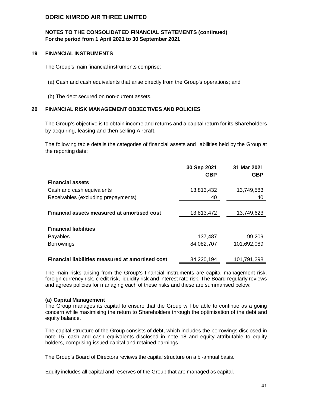# **NOTES TO THE CONSOLIDATED FINANCIAL STATEMENTS (continued) For the period from 1 April 2021 to 30 September 2021**

#### **19 FINANCIAL INSTRUMENTS**

The Group's main financial instruments comprise:

- (a) Cash and cash equivalents that arise directly from the Group's operations; and
- (b) The debt secured on non-current assets.

#### **20 FINANCIAL RISK MANAGEMENT OBJECTIVES AND POLICIES**

The Group's objective is to obtain income and returns and a capital return for its Shareholders by acquiring, leasing and then selling Aircraft.

The following table details the categories of financial assets and liabilities held by the Group at the reporting date:

|                                                  | 30 Sep 2021<br><b>GBP</b> | 31 Mar 2021<br><b>GBP</b> |
|--------------------------------------------------|---------------------------|---------------------------|
| <b>Financial assets</b>                          |                           |                           |
| Cash and cash equivalents                        | 13,813,432                | 13,749,583                |
| Receivables (excluding prepayments)              | 40                        | 40                        |
|                                                  |                           |                           |
| Financial assets measured at amortised cost      | 13,813,472                | 13,749,623                |
|                                                  |                           |                           |
| <b>Financial liabilities</b>                     |                           |                           |
| Payables                                         | 137,487                   | 99,209                    |
| <b>Borrowings</b>                                | 84,082,707                | 101,692,089               |
|                                                  |                           |                           |
| Financial liabilities measured at amortised cost | 84,220,194                | 101,791,298               |

The main risks arising from the Group's financial instruments are capital management risk, foreign currency risk, credit risk, liquidity risk and interest rate risk. The Board regularly reviews and agrees policies for managing each of these risks and these are summarised below:

#### **(a) Capital Management**

The Group manages its capital to ensure that the Group will be able to continue as a going concern while maximising the return to Shareholders through the optimisation of the debt and equity balance.

The capital structure of the Group consists of debt, which includes the borrowings disclosed in note 15, cash and cash equivalents disclosed in note 18 and equity attributable to equity holders, comprising issued capital and retained earnings.

The Group's Board of Directors reviews the capital structure on a bi-annual basis.

Equity includes all capital and reserves of the Group that are managed as capital.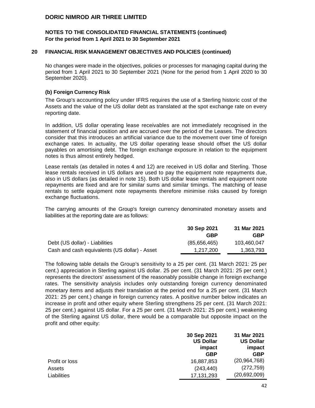#### **NOTES TO THE CONSOLIDATED FINANCIAL STATEMENTS (continued) For the period from 1 April 2021 to 30 September 2021**

#### **20 FINANCIAL RISK MANAGEMENT OBJECTIVES AND POLICIES (continued)**

No changes were made in the objectives, policies or processes for managing capital during the period from 1 April 2021 to 30 September 2021 (None for the period from 1 April 2020 to 30 September 2020).

#### **(b) Foreign Currency Risk**

The Group's accounting policy under IFRS requires the use of a Sterling historic cost of the Assets and the value of the US dollar debt as translated at the spot exchange rate on every reporting date.

In addition, US dollar operating lease receivables are not immediately recognised in the statement of financial position and are accrued over the period of the Leases. The directors consider that this introduces an artificial variance due to the movement over time of foreign exchange rates. In actuality, the US dollar operating lease should offset the US dollar payables on amortising debt. The foreign exchange exposure in relation to the equipment notes is thus almost entirely hedged.

Lease rentals (as detailed in notes 4 and 12) are received in US dollar and Sterling. Those lease rentals received in US dollars are used to pay the equipment note repayments due, also in US dollars (as detailed in note 15). Both US dollar lease rentals and equipment note repayments are fixed and are for similar sums and similar timings. The matching of lease rentals to settle equipment note repayments therefore minimise risks caused by foreign exchange fluctuations.

The carrying amounts of the Group's foreign currency denominated monetary assets and liabilities at the reporting date are as follows:

|                                               | 30 Sep 2021  | 31 Mar 2021 |
|-----------------------------------------------|--------------|-------------|
|                                               | GBP          | <b>GBP</b>  |
| Debt (US dollar) - Liabilities                | (85,656,465) | 103.460.047 |
| Cash and cash equivalents (US dollar) - Asset | 1.217.200    | 1.363.793   |

The following table details the Group's sensitivity to a 25 per cent. (31 March 2021: 25 per cent.) appreciation in Sterling against US dollar. 25 per cent. (31 March 2021: 25 per cent.) represents the directors' assessment of the reasonably possible change in foreign exchange rates. The sensitivity analysis includes only outstanding foreign currency denominated monetary items and adjusts their translation at the period end for a 25 per cent. (31 March 2021: 25 per cent.) change in foreign currency rates. A positive number below indicates an increase in profit and other equity where Sterling strengthens 25 per cent. (31 March 2021: 25 per cent.) against US dollar. For a 25 per cent. (31 March 2021: 25 per cent.) weakening of the Sterling against US dollar, there would be a comparable but opposite impact on the profit and other equity:

|                | 30 Sep 2021<br><b>US Dollar</b><br>impact | 31 Mar 2021<br><b>US Dollar</b><br>impact |  |
|----------------|-------------------------------------------|-------------------------------------------|--|
|                | <b>GBP</b>                                | <b>GBP</b>                                |  |
| Profit or loss | 16,887,853                                | (20, 964, 768)                            |  |
| Assets         | (243, 440)                                | (272, 759)                                |  |
| Liabilities    | 17, 131, 293                              | (20,692,009)                              |  |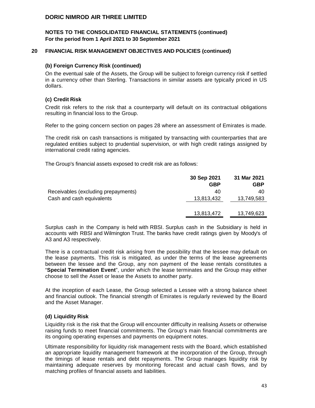#### **NOTES TO THE CONSOLIDATED FINANCIAL STATEMENTS (continued) For the period from 1 April 2021 to 30 September 2021**

#### **20 FINANCIAL RISK MANAGEMENT OBJECTIVES AND POLICIES (continued)**

#### **(b) Foreign Currency Risk (continued)**

On the eventual sale of the Assets, the Group will be subject to foreign currency risk if settled in a currency other than Sterling. Transactions in similar assets are typically priced in US dollars.

#### **(c) Credit Risk**

Credit risk refers to the risk that a counterparty will default on its contractual obligations resulting in financial loss to the Group.

Refer to the going concern section on pages 28 where an assessment of Emirates is made.

The credit risk on cash transactions is mitigated by transacting with counterparties that are regulated entities subject to prudential supervision, or with high credit ratings assigned by international credit rating agencies.

The Group's financial assets exposed to credit risk are as follows:

|                                     | 30 Sep 2021 | 31 Mar 2021 |
|-------------------------------------|-------------|-------------|
|                                     | GBP         | GBP         |
| Receivables (excluding prepayments) | 40          | 40          |
| Cash and cash equivalents           | 13,813,432  | 13,749,583  |
|                                     |             |             |
|                                     | 13,813,472  | 13,749,623  |

Surplus cash in the Company is held with RBSI. Surplus cash in the Subsidiary is held in accounts with RBSI and Wilmington Trust. The banks have credit ratings given by Moody's of A3 and A3 respectively.

There is a contractual credit risk arising from the possibility that the lessee may default on the lease payments. This risk is mitigated, as under the terms of the lease agreements between the lessee and the Group, any non payment of the lease rentals constitutes a "**Special Termination Event**", under which the lease terminates and the Group may either choose to sell the Asset or lease the Assets to another party.

At the inception of each Lease, the Group selected a Lessee with a strong balance sheet and financial outlook. The financial strength of Emirates is regularly reviewed by the Board and the Asset Manager.

#### **(d) Liquidity Risk**

Liquidity risk is the risk that the Group will encounter difficulty in realising Assets or otherwise raising funds to meet financial commitments. The Group's main financial commitments are its ongoing operating expenses and payments on equipment notes.

Ultimate responsibility for liquidity risk management rests with the Board, which established an appropriate liquidity management framework at the incorporation of the Group, through the timings of lease rentals and debt repayments. The Group manages liquidity risk by maintaining adequate reserves by monitoring forecast and actual cash flows, and by matching profiles of financial assets and liabilities.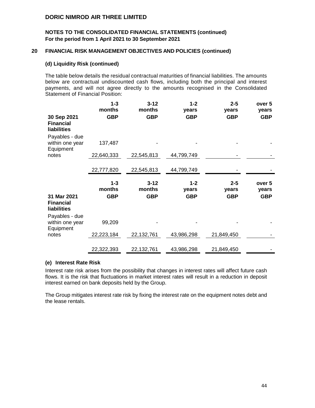#### **NOTES TO THE CONSOLIDATED FINANCIAL STATEMENTS (continued) For the period from 1 April 2021 to 30 September 2021**

#### **20 FINANCIAL RISK MANAGEMENT OBJECTIVES AND POLICIES (continued)**

#### **(d) Liquidity Risk (continued)**

The table below details the residual contractual maturities of financial liabilities. The amounts below are contractual undiscounted cash flows, including both the principal and interest payments, and will not agree directly to the amounts recognised in the Consolidated Statement of Financial Position:

|                                                | $1 - 3$<br>months               | $3 - 12$<br>months               | $1 - 2$<br>years               | $2 - 5$<br>years               | over 5<br>years               |
|------------------------------------------------|---------------------------------|----------------------------------|--------------------------------|--------------------------------|-------------------------------|
| 30 Sep 2021<br><b>Financial</b><br>liabilities | <b>GBP</b>                      | <b>GBP</b>                       | <b>GBP</b>                     | <b>GBP</b>                     | <b>GBP</b>                    |
| Payables - due<br>within one year<br>Equipment | 137,487                         |                                  |                                |                                |                               |
| notes                                          | 22,640,333                      | 22,545,813                       | 44,799,749                     |                                |                               |
|                                                | 22,777,820                      | 22,545,813                       | 44,799,749                     |                                |                               |
|                                                |                                 |                                  |                                |                                |                               |
| 31 Mar 2021<br><b>Financial</b><br>liabilities | $1 - 3$<br>months<br><b>GBP</b> | $3 - 12$<br>months<br><b>GBP</b> | $1 - 2$<br>years<br><b>GBP</b> | $2 - 5$<br>years<br><b>GBP</b> | over 5<br>years<br><b>GBP</b> |
| Payables - due<br>within one year              | 99,209                          |                                  |                                |                                |                               |
| Equipment<br>notes                             | 22,223,184                      | 22,132,761                       | 43,986,298                     | 21,849,450                     |                               |

#### **(e) Interest Rate Risk**

Interest rate risk arises from the possibility that changes in interest rates will affect future cash flows. It is the risk that fluctuations in market interest rates will result in a reduction in deposit interest earned on bank deposits held by the Group.

The Group mitigates interest rate risk by fixing the interest rate on the equipment notes debt and the lease rentals.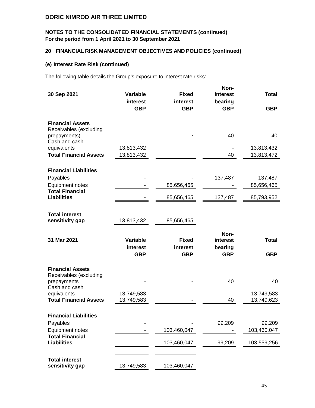# **NOTES TO THE CONSOLIDATED FINANCIAL STATEMENTS (continued) For the period from 1 April 2021 to 30 September 2021**

# **20 FINANCIAL RISK MANAGEMENT OBJECTIVES AND POLICIES (continued)**

#### **(e) Interest Rate Risk (continued)**

The following table details the Group's exposure to interest rate risks:

| 30 Sep 2021                                                                                                                       | <b>Variable</b><br>interest<br><b>GBP</b> | <b>Fixed</b><br>interest<br><b>GBP</b> | Non-<br>interest<br>bearing<br><b>GBP</b> | <b>Total</b><br><b>GBP</b>     |
|-----------------------------------------------------------------------------------------------------------------------------------|-------------------------------------------|----------------------------------------|-------------------------------------------|--------------------------------|
| <b>Financial Assets</b><br>Receivables (excluding<br>prepayments)                                                                 |                                           |                                        | 40                                        | 40                             |
| Cash and cash<br>equivalents<br><b>Total Financial Assets</b>                                                                     | 13,813,432<br>13,813,432                  |                                        | 40                                        | 13,813,432<br>13,813,472       |
| <b>Financial Liabilities</b><br>Payables                                                                                          |                                           |                                        | 137,487                                   | 137,487                        |
| Equipment notes<br><b>Total Financial</b><br><b>Liabilities</b>                                                                   |                                           | 85,656,465<br>85,656,465               | 137,487                                   | 85,656,465<br>85,793,952       |
| <b>Total interest</b><br>sensitivity gap                                                                                          | 13,813,432                                | 85,656,465                             |                                           |                                |
| 31 Mar 2021                                                                                                                       | Variable<br>interest<br><b>GBP</b>        | <b>Fixed</b><br>interest<br><b>GBP</b> | Non-<br>interest<br>bearing<br><b>GBP</b> | <b>Total</b><br><b>GBP</b>     |
| <b>Financial Assets</b><br>Receivables (excluding<br>prepayments<br>Cash and cash<br>equivalents<br><b>Total Financial Assets</b> | 13,749,583<br>13,749,583                  |                                        | 40<br>40                                  | 40<br>13,749,583<br>13,749,623 |
| <b>Financial Liabilities</b><br>Payables<br><b>Equipment notes</b>                                                                |                                           | 103,460,047                            | 99,209                                    | 99,209<br>103,460,047          |
| <b>Total Financial</b><br><b>Liabilities</b>                                                                                      |                                           | 103,460,047                            | 99,209                                    | 103,559,256                    |
| <b>Total interest</b><br>sensitivity gap                                                                                          | 13,749,583                                | 103,460,047                            |                                           |                                |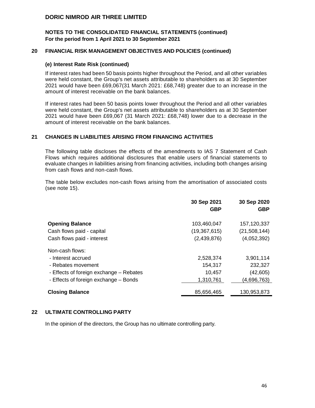#### **NOTES TO THE CONSOLIDATED FINANCIAL STATEMENTS (continued) For the period from 1 April 2021 to 30 September 2021**

#### **20 FINANCIAL RISK MANAGEMENT OBJECTIVES AND POLICIES (continued)**

#### **(e) Interest Rate Risk (continued)**

If interest rates had been 50 basis points higher throughout the Period, and all other variables were held constant, the Group's net assets attributable to shareholders as at 30 September 2021 would have been £69,067(31 March 2021: £68,748) greater due to an increase in the amount of interest receivable on the bank balances.

If interest rates had been 50 basis points lower throughout the Period and all other variables were held constant, the Group's net assets attributable to shareholders as at 30 September 2021 would have been £69,067 (31 March 2021: £68,748) lower due to a decrease in the amount of interest receivable on the bank balances.

#### **21 CHANGES IN LIABILITIES ARISING FROM FINANCING ACTIVITIES**

The following table discloses the effects of the amendments to IAS 7 Statement of Cash Flows which requires additional disclosures that enable users of financial statements to evaluate changes in liabilities arising from financing activities, including both changes arising from cash flows and non-cash flows.

The table below excludes non-cash flows arising from the amortisation of associated costs (see note 15).

|                                         | 30 Sep 2021<br><b>GBP</b> | 30 Sep 2020<br><b>GBP</b> |
|-----------------------------------------|---------------------------|---------------------------|
| <b>Opening Balance</b>                  | 103,460,047               | 157,120,337               |
| Cash flows paid - capital               | (19, 367, 615)            | (21, 508, 144)            |
| Cash flows paid - interest              | (2,439,876)               | (4,052,392)               |
| Non-cash flows:                         |                           |                           |
| - Interest accrued                      | 2,528,374                 | 3,901,114                 |
| - Rebates movement                      | 154,317                   | 232,327                   |
| - Effects of foreign exchange - Rebates | 10,457                    | (42, 605)                 |
| - Effects of foreign exchange - Bonds   | 1,310,761                 | (4,696,763)               |
| <b>Closing Balance</b>                  | 85,656,465                | 130,953,873               |

#### **22 ULTIMATE CONTROLLING PARTY**

In the opinion of the directors, the Group has no ultimate controlling party.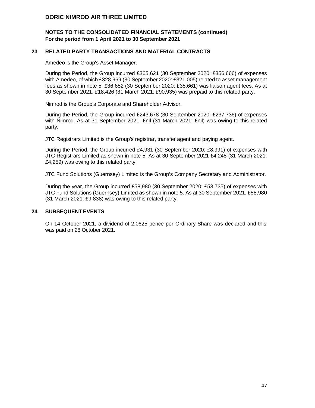#### **NOTES TO THE CONSOLIDATED FINANCIAL STATEMENTS (continued) For the period from 1 April 2021 to 30 September 2021**

#### **23 RELATED PARTY TRANSACTIONS AND MATERIAL CONTRACTS**

Amedeo is the Group's Asset Manager.

During the Period, the Group incurred £365,621 (30 September 2020: £356,666) of expenses with Amedeo, of which £328,969 (30 September 2020: £321,005) related to asset management fees as shown in note 5, £36,652 (30 September 2020: £35,661) was liaison agent fees. As at 30 September 2021, £18,426 (31 March 2021: £90,935) was prepaid to this related party.

Nimrod is the Group's Corporate and Shareholder Advisor.

During the Period, the Group incurred £243,678 (30 September 2020: £237,736) of expenses with Nimrod. As at 31 September 2021, £nil (31 March 2021: £nil) was owing to this related party.

JTC Registrars Limited is the Group's registrar, transfer agent and paying agent.

During the Period, the Group incurred £4,931 (30 September 2020: £8,991) of expenses with JTC Registrars Limited as shown in note 5. As at 30 September 2021 £4,248 (31 March 2021: £4,259) was owing to this related party.

JTC Fund Solutions (Guernsey) Limited is the Group's Company Secretary and Administrator.

During the year, the Group incurred £58,980 (30 September 2020: £53,735) of expenses with JTC Fund Solutions (Guernsey) Limited as shown in note 5. As at 30 September 2021, £58,980 (31 March 2021: £9,838) was owing to this related party.

#### **24 SUBSEQUENT EVENTS**

On 14 October 2021, a dividend of 2.0625 pence per Ordinary Share was declared and this was paid on 28 October 2021.